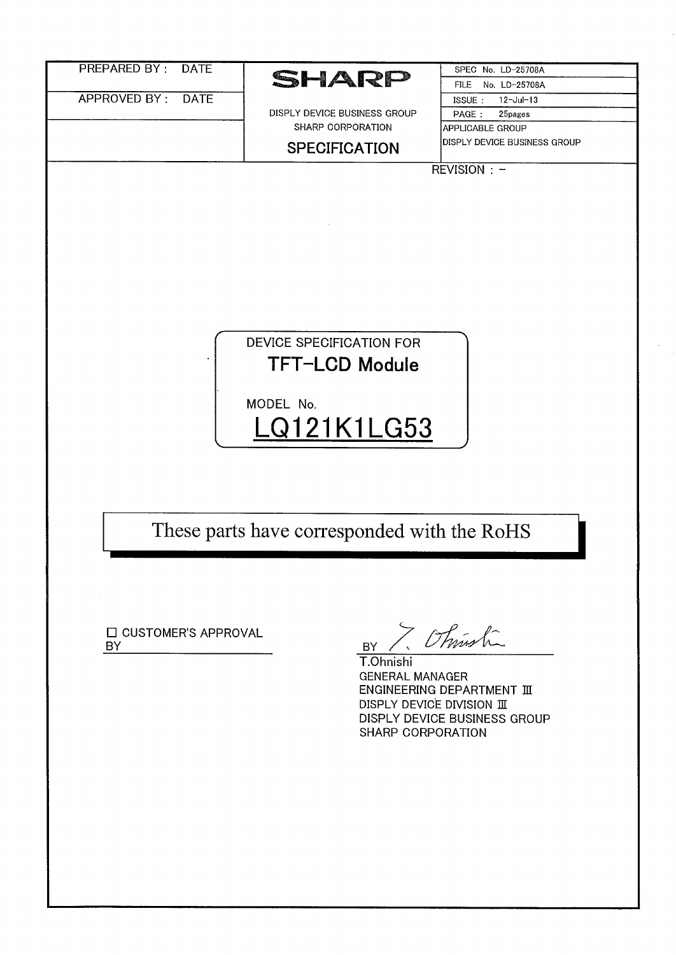| No. LD-25708A<br><b>FILE</b><br>APPROVED BY:<br><b>DATE</b><br>ISSUE:<br>$12 -$ Jul-13<br>DISPLY DEVICE BUSINESS GROUP<br>PAGE:<br>25pages<br>SHARP CORPORATION<br>APPLICABLE GROUP<br>DISPLY DEVICE BUSINESS GROUP<br><b>SPECIFICATION</b><br>REVISION : -<br>DEVICE SPECIFICATION FOR<br>TFT-LCD Module<br>MODEL No.<br>LQ121K1LG53<br>These parts have corresponded with the RoHS<br>7 / Think<br>□ CUSTOMER'S APPROVAL<br><b>BY</b><br><b>BY</b><br>T.Ohnishi<br><b>GENERAL MANAGER</b><br><b>ENGINEERING DEPARTMENT III</b><br>DISPLY DEVICE DIVISION III<br>DISPLY DEVICE BUSINESS GROUP<br>SHARP CORPORATION | <b>PREPARED BY:</b><br><b>DATE</b> |       | SPEC No. LD-25708A |
|---------------------------------------------------------------------------------------------------------------------------------------------------------------------------------------------------------------------------------------------------------------------------------------------------------------------------------------------------------------------------------------------------------------------------------------------------------------------------------------------------------------------------------------------------------------------------------------------------------------------|------------------------------------|-------|--------------------|
|                                                                                                                                                                                                                                                                                                                                                                                                                                                                                                                                                                                                                     |                                    | SHARP |                    |
|                                                                                                                                                                                                                                                                                                                                                                                                                                                                                                                                                                                                                     |                                    |       |                    |
|                                                                                                                                                                                                                                                                                                                                                                                                                                                                                                                                                                                                                     |                                    |       |                    |
|                                                                                                                                                                                                                                                                                                                                                                                                                                                                                                                                                                                                                     |                                    |       |                    |
|                                                                                                                                                                                                                                                                                                                                                                                                                                                                                                                                                                                                                     |                                    |       |                    |
|                                                                                                                                                                                                                                                                                                                                                                                                                                                                                                                                                                                                                     |                                    |       |                    |
|                                                                                                                                                                                                                                                                                                                                                                                                                                                                                                                                                                                                                     |                                    |       |                    |
|                                                                                                                                                                                                                                                                                                                                                                                                                                                                                                                                                                                                                     |                                    |       |                    |
|                                                                                                                                                                                                                                                                                                                                                                                                                                                                                                                                                                                                                     |                                    |       |                    |
|                                                                                                                                                                                                                                                                                                                                                                                                                                                                                                                                                                                                                     |                                    |       |                    |
|                                                                                                                                                                                                                                                                                                                                                                                                                                                                                                                                                                                                                     |                                    |       |                    |
|                                                                                                                                                                                                                                                                                                                                                                                                                                                                                                                                                                                                                     |                                    |       |                    |
|                                                                                                                                                                                                                                                                                                                                                                                                                                                                                                                                                                                                                     |                                    |       |                    |
|                                                                                                                                                                                                                                                                                                                                                                                                                                                                                                                                                                                                                     |                                    |       |                    |
|                                                                                                                                                                                                                                                                                                                                                                                                                                                                                                                                                                                                                     |                                    |       |                    |
|                                                                                                                                                                                                                                                                                                                                                                                                                                                                                                                                                                                                                     |                                    |       |                    |
|                                                                                                                                                                                                                                                                                                                                                                                                                                                                                                                                                                                                                     |                                    |       |                    |
|                                                                                                                                                                                                                                                                                                                                                                                                                                                                                                                                                                                                                     |                                    |       |                    |
|                                                                                                                                                                                                                                                                                                                                                                                                                                                                                                                                                                                                                     |                                    |       |                    |
|                                                                                                                                                                                                                                                                                                                                                                                                                                                                                                                                                                                                                     |                                    |       |                    |
|                                                                                                                                                                                                                                                                                                                                                                                                                                                                                                                                                                                                                     |                                    |       |                    |
|                                                                                                                                                                                                                                                                                                                                                                                                                                                                                                                                                                                                                     |                                    |       |                    |
|                                                                                                                                                                                                                                                                                                                                                                                                                                                                                                                                                                                                                     |                                    |       |                    |
|                                                                                                                                                                                                                                                                                                                                                                                                                                                                                                                                                                                                                     |                                    |       |                    |
|                                                                                                                                                                                                                                                                                                                                                                                                                                                                                                                                                                                                                     |                                    |       |                    |
|                                                                                                                                                                                                                                                                                                                                                                                                                                                                                                                                                                                                                     |                                    |       |                    |
|                                                                                                                                                                                                                                                                                                                                                                                                                                                                                                                                                                                                                     |                                    |       |                    |
|                                                                                                                                                                                                                                                                                                                                                                                                                                                                                                                                                                                                                     |                                    |       |                    |
|                                                                                                                                                                                                                                                                                                                                                                                                                                                                                                                                                                                                                     |                                    |       |                    |
|                                                                                                                                                                                                                                                                                                                                                                                                                                                                                                                                                                                                                     |                                    |       |                    |
|                                                                                                                                                                                                                                                                                                                                                                                                                                                                                                                                                                                                                     |                                    |       |                    |
|                                                                                                                                                                                                                                                                                                                                                                                                                                                                                                                                                                                                                     |                                    |       |                    |
|                                                                                                                                                                                                                                                                                                                                                                                                                                                                                                                                                                                                                     |                                    |       |                    |
|                                                                                                                                                                                                                                                                                                                                                                                                                                                                                                                                                                                                                     |                                    |       |                    |
|                                                                                                                                                                                                                                                                                                                                                                                                                                                                                                                                                                                                                     |                                    |       |                    |
|                                                                                                                                                                                                                                                                                                                                                                                                                                                                                                                                                                                                                     |                                    |       |                    |
|                                                                                                                                                                                                                                                                                                                                                                                                                                                                                                                                                                                                                     |                                    |       |                    |
|                                                                                                                                                                                                                                                                                                                                                                                                                                                                                                                                                                                                                     |                                    |       |                    |
|                                                                                                                                                                                                                                                                                                                                                                                                                                                                                                                                                                                                                     |                                    |       |                    |
|                                                                                                                                                                                                                                                                                                                                                                                                                                                                                                                                                                                                                     |                                    |       |                    |
|                                                                                                                                                                                                                                                                                                                                                                                                                                                                                                                                                                                                                     |                                    |       |                    |
|                                                                                                                                                                                                                                                                                                                                                                                                                                                                                                                                                                                                                     |                                    |       |                    |
|                                                                                                                                                                                                                                                                                                                                                                                                                                                                                                                                                                                                                     |                                    |       |                    |
|                                                                                                                                                                                                                                                                                                                                                                                                                                                                                                                                                                                                                     |                                    |       |                    |
|                                                                                                                                                                                                                                                                                                                                                                                                                                                                                                                                                                                                                     |                                    |       |                    |
|                                                                                                                                                                                                                                                                                                                                                                                                                                                                                                                                                                                                                     |                                    |       |                    |
|                                                                                                                                                                                                                                                                                                                                                                                                                                                                                                                                                                                                                     |                                    |       |                    |
|                                                                                                                                                                                                                                                                                                                                                                                                                                                                                                                                                                                                                     |                                    |       |                    |
|                                                                                                                                                                                                                                                                                                                                                                                                                                                                                                                                                                                                                     |                                    |       |                    |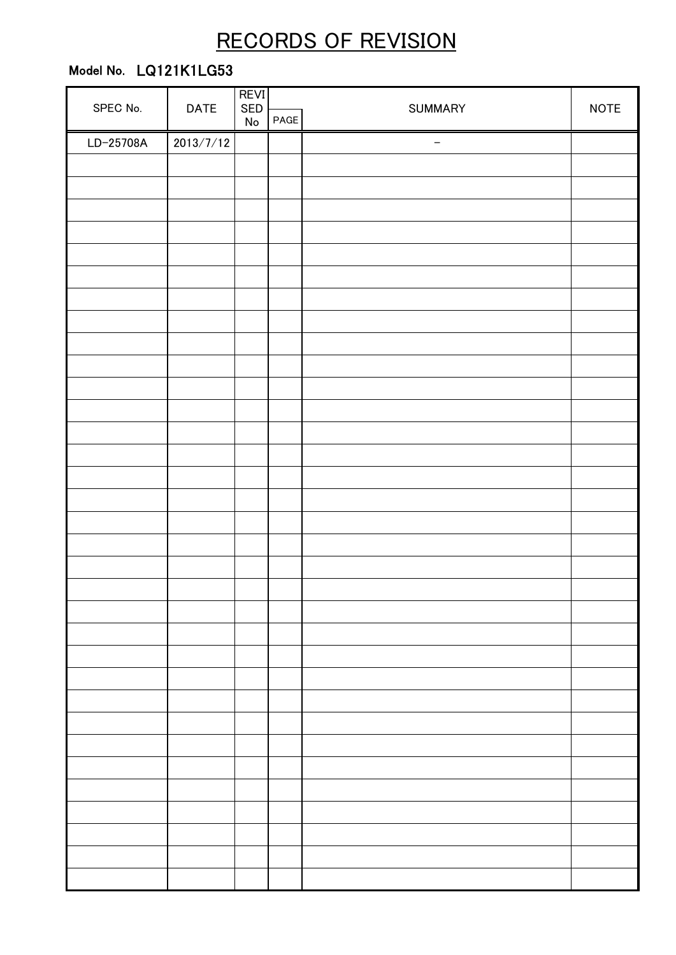# RECORDS OF REVISION

# Model No. LQ121K1LG53

|           | <b>DATE</b> | <b>REVI</b><br>SED |      |         | <b>NOTE</b> |
|-----------|-------------|--------------------|------|---------|-------------|
| SPEC No.  |             | ${\sf No}$         | PAGE | SUMMARY |             |
| LD-25708A | 2013/7/12   |                    |      | -       |             |
|           |             |                    |      |         |             |
|           |             |                    |      |         |             |
|           |             |                    |      |         |             |
|           |             |                    |      |         |             |
|           |             |                    |      |         |             |
|           |             |                    |      |         |             |
|           |             |                    |      |         |             |
|           |             |                    |      |         |             |
|           |             |                    |      |         |             |
|           |             |                    |      |         |             |
|           |             |                    |      |         |             |
|           |             |                    |      |         |             |
|           |             |                    |      |         |             |
|           |             |                    |      |         |             |
|           |             |                    |      |         |             |
|           |             |                    |      |         |             |
|           |             |                    |      |         |             |
|           |             |                    |      |         |             |
|           |             |                    |      |         |             |
|           |             |                    |      |         |             |
|           |             |                    |      |         |             |
|           |             |                    |      |         |             |
|           |             |                    |      |         |             |
|           |             |                    |      |         |             |
|           |             |                    |      |         |             |
|           |             |                    |      |         |             |
|           |             |                    |      |         |             |
|           |             |                    |      |         |             |
|           |             |                    |      |         |             |
|           |             |                    |      |         |             |
|           |             |                    |      |         |             |
|           |             |                    |      |         |             |
|           |             |                    |      |         |             |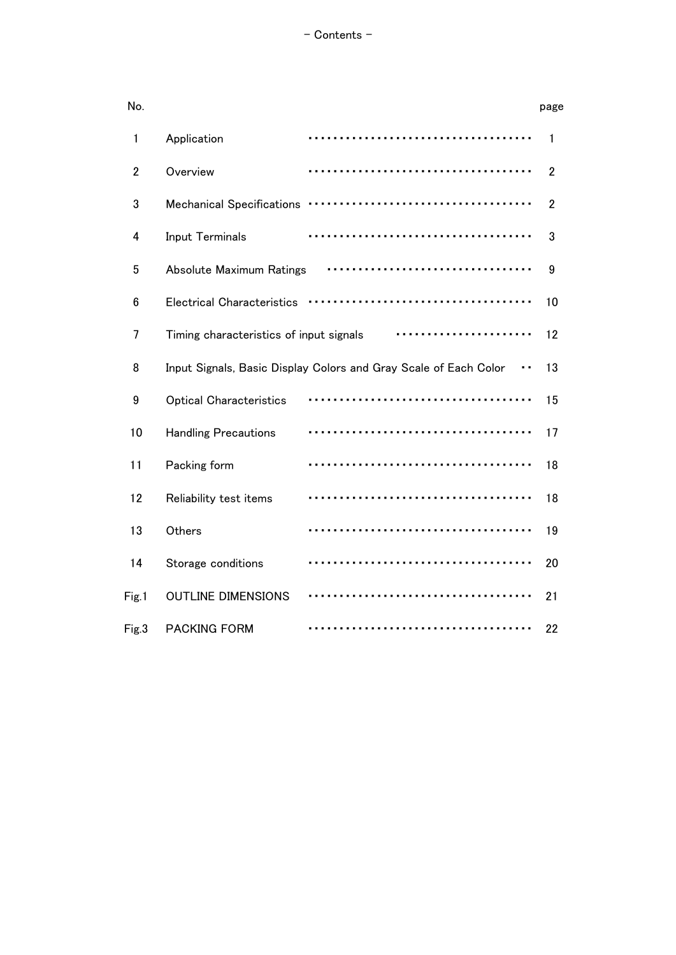| No.            |                                         |                                                                  | page           |
|----------------|-----------------------------------------|------------------------------------------------------------------|----------------|
| 1              | Application                             |                                                                  | 1              |
| $\overline{2}$ | Overview                                |                                                                  | $\overline{2}$ |
| 3              | <b>Mechanical Specifications</b>        |                                                                  | $\overline{2}$ |
| 4              | <b>Input Terminals</b>                  |                                                                  | 3              |
| 5              | Absolute Maximum Ratings                |                                                                  | 9              |
| 6              | <b>Electrical Characteristics</b>       |                                                                  | 10             |
| 7              | Timing characteristics of input signals |                                                                  | 12             |
| 8              |                                         | Input Signals, Basic Display Colors and Gray Scale of Each Color | 13             |
| 9              | <b>Optical Characteristics</b>          |                                                                  | 15             |
| 10             | <b>Handling Precautions</b>             |                                                                  | 17             |
| 11             | Packing form                            |                                                                  | 18             |
| 12             | Reliability test items                  |                                                                  | 18             |
| 13             | Others                                  |                                                                  | 19             |
| 14             | Storage conditions                      |                                                                  | 20             |
| Fig.1          | <b>OUTLINE DIMENSIONS</b>               |                                                                  | 21             |
| Fig.3          | <b>PACKING FORM</b>                     |                                                                  | 22             |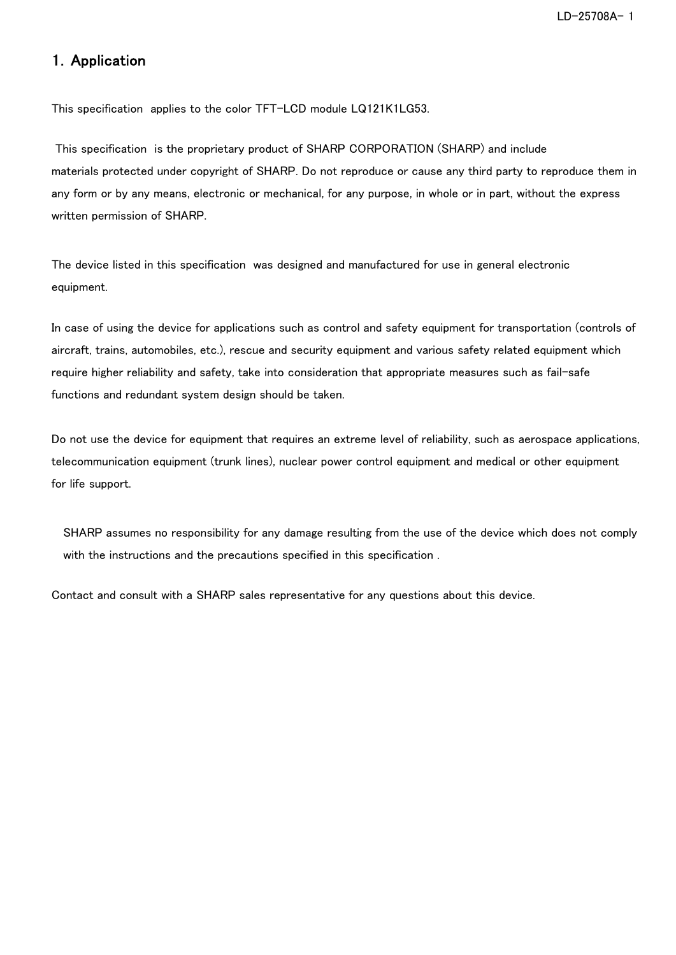### 1.Application

This specification applies to the color TFT-LCD module LQ121K1LG53.

 This specification is the proprietary product of SHARP CORPORATION (SHARP) and include materials protected under copyright of SHARP. Do not reproduce or cause any third party to reproduce them in any form or by any means, electronic or mechanical, for any purpose, in whole or in part, without the express written permission of SHARP.

The device listed in this specification was designed and manufactured for use in general electronic equipment.

In case of using the device for applications such as control and safety equipment for transportation (controls of aircraft, trains, automobiles, etc.), rescue and security equipment and various safety related equipment which require higher reliability and safety, take into consideration that appropriate measures such as fail-safe functions and redundant system design should be taken.

Do not use the device for equipment that requires an extreme level of reliability, such as aerospace applications, telecommunication equipment (trunk lines), nuclear power control equipment and medical or other equipment for life support.

SHARP assumes no responsibility for any damage resulting from the use of the device which does not comply with the instructions and the precautions specified in this specification .

Contact and consult with a SHARP sales representative for any questions about this device.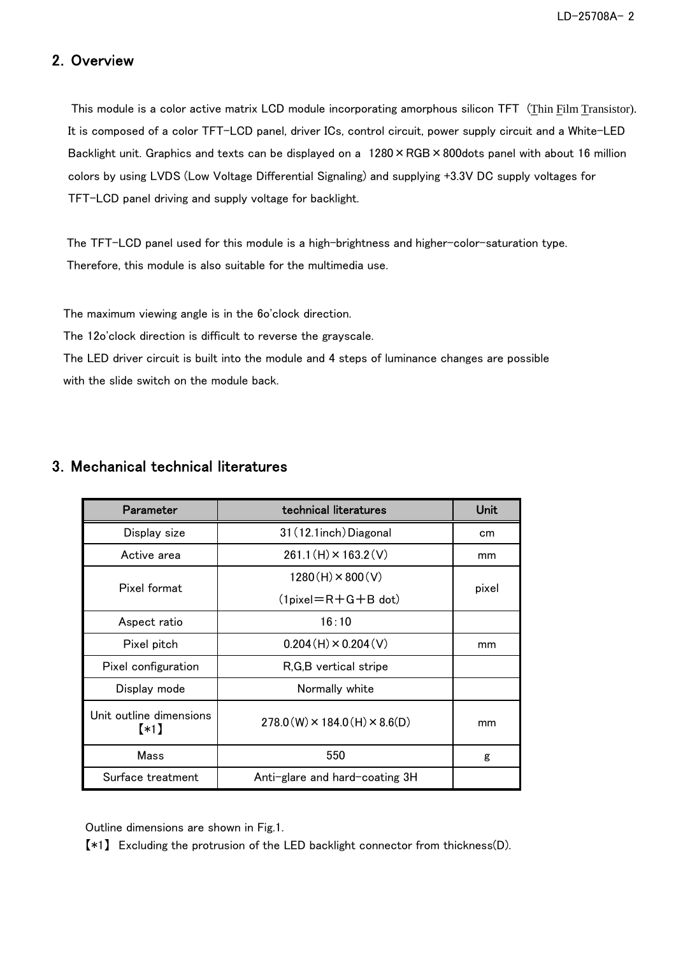### 2.Overview

 This module is a color active matrix LCD module incorporating amorphous silicon TFT (Thin Film Transistor). It is composed of a color TFT-LCD panel, driver ICs, control circuit, power supply circuit and a White-LED Backlight unit. Graphics and texts can be displayed on a 1280 × RGB × 800dots panel with about 16 million colors by using LVDS (Low Voltage Differential Signaling) and supplying +3.3V DC supply voltages for TFT-LCD panel driving and supply voltage for backlight.

 The TFT-LCD panel used for this module is a high-brightness and higher-color-saturation type. Therefore, this module is also suitable for the multimedia use.

The maximum viewing angle is in the 6o'clock direction.

The 12o'clock direction is difficult to reverse the grayscale.

The LED driver circuit is built into the module and 4 steps of luminance changes are possible with the slide switch on the module back.

### 3.Mechanical technical literatures

| Parameter                       | technical literatures                          | <b>Unit</b> |  |
|---------------------------------|------------------------------------------------|-------------|--|
| Display size                    | 31 (12.1inch) Diagonal                         | cm          |  |
| Active area                     | $261.1(H) \times 163.2(V)$                     | mm          |  |
| Pixel format                    | $1280(H) \times 800(V)$                        | pixel       |  |
|                                 | $(1$ pixel $=R+G+B$ dot)                       |             |  |
| Aspect ratio                    | 16:10                                          |             |  |
| Pixel pitch                     | $0.204(H) \times 0.204(V)$                     | mm          |  |
| Pixel configuration             | R, G, B vertical stripe                        |             |  |
| Display mode                    | Normally white                                 |             |  |
| Unit outline dimensions<br>$*1$ | $278.0$ (W) $\times$ 184.0 (H) $\times$ 8.6(D) | mm          |  |
| Mass                            | 550                                            | g           |  |
| Surface treatment               | Anti-glare and hard-coating 3H                 |             |  |

Outline dimensions are shown in Fig.1.

【\*1】 Excluding the protrusion of the LED backlight connector from thickness(D).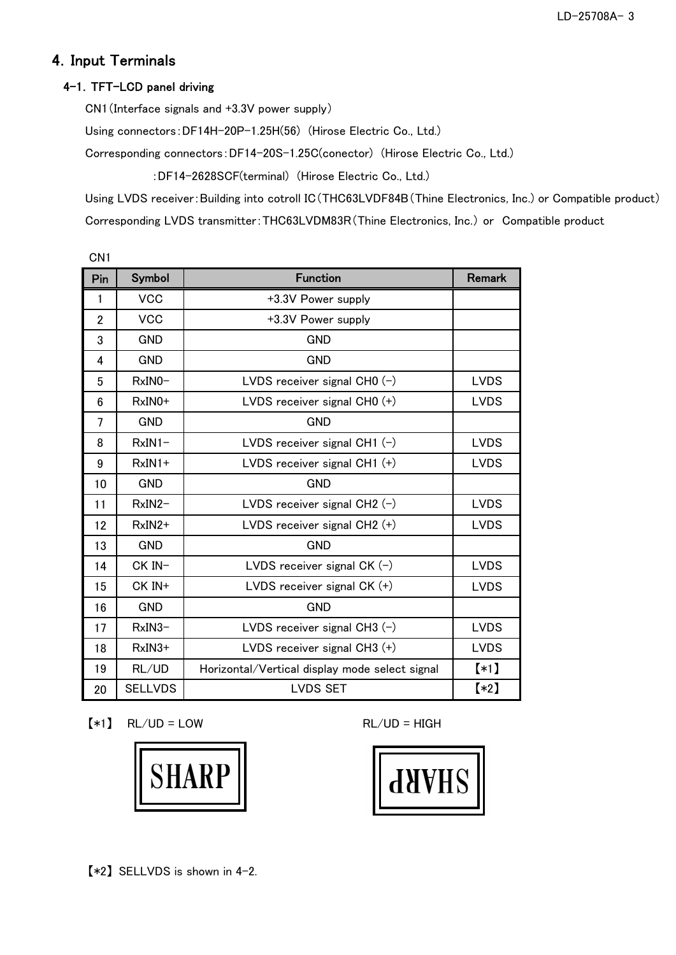# 4.Input Terminals

### 4-1. TFT-LCD panel driving

CN1(Interface signals and +3.3V power supply)

Using connectors:DF14H-20P-1.25H(56) (Hirose Electric Co., Ltd.)

Corresponding connectors:DF14-20S-1.25C(conector) (Hirose Electric Co., Ltd.)

:DF14-2628SCF(terminal) (Hirose Electric Co., Ltd.)

Using LVDS receiver:Building into cotroll IC(THC63LVDF84B(Thine Electronics, Inc.) or Compatible product) Corresponding LVDS transmitter:THC63LVDM83R(Thine Electronics, Inc.) or Compatible product

| CN <sub>1</sub> |                |                                                |               |
|-----------------|----------------|------------------------------------------------|---------------|
| Pin             | Symbol         | <b>Function</b>                                | <b>Remark</b> |
| 1               | <b>VCC</b>     | +3.3V Power supply                             |               |
| $\overline{2}$  | <b>VCC</b>     | +3.3V Power supply                             |               |
| 3               | <b>GND</b>     | <b>GND</b>                                     |               |
| 4               | <b>GND</b>     | <b>GND</b>                                     |               |
| 5               | $RxINO -$      | LVDS receiver signal CH0 $(-)$                 | <b>LVDS</b>   |
| 6               | RxIN0+         | LVDS receiver signal CH0 $(+)$                 | <b>LVDS</b>   |
| 7               | <b>GND</b>     | <b>GND</b>                                     |               |
| 8               | $RxIN1-$       | LVDS receiver signal CH1 $(-)$                 | <b>LVDS</b>   |
| 9               | $RxIN1+$       | LVDS receiver signal CH1 (+)                   | <b>LVDS</b>   |
| 10              | <b>GND</b>     | <b>GND</b>                                     |               |
| 11              | RxIN2-         | LVDS receiver signal CH2 $(-)$                 | <b>LVDS</b>   |
| 12              | RxIN2+         | LVDS receiver signal $CH2 (+)$                 | <b>LVDS</b>   |
| 13              | <b>GND</b>     | <b>GND</b>                                     |               |
| 14              | CK IN-         | LVDS receiver signal CK $(-)$                  | <b>LVDS</b>   |
| 15              | CK IN+         | LVDS receiver signal $CK (+)$                  | <b>LVDS</b>   |
| 16              | <b>GND</b>     | <b>GND</b>                                     |               |
| 17              | $RxIN3-$       | LVDS receiver signal CH3 $(-)$                 | <b>LVDS</b>   |
| 18              | $RxIN3+$       | LVDS receiver signal CH3 $(+)$                 | <b>LVDS</b>   |
| 19              | RL/UD          | Horizontal/Vertical display mode select signal | $(*1)$        |
| 20              | <b>SELLVDS</b> | <b>LVDS SET</b>                                | $(*2)$        |

 $[*1]$  RL/UD = LOW RL/UD = HIGH



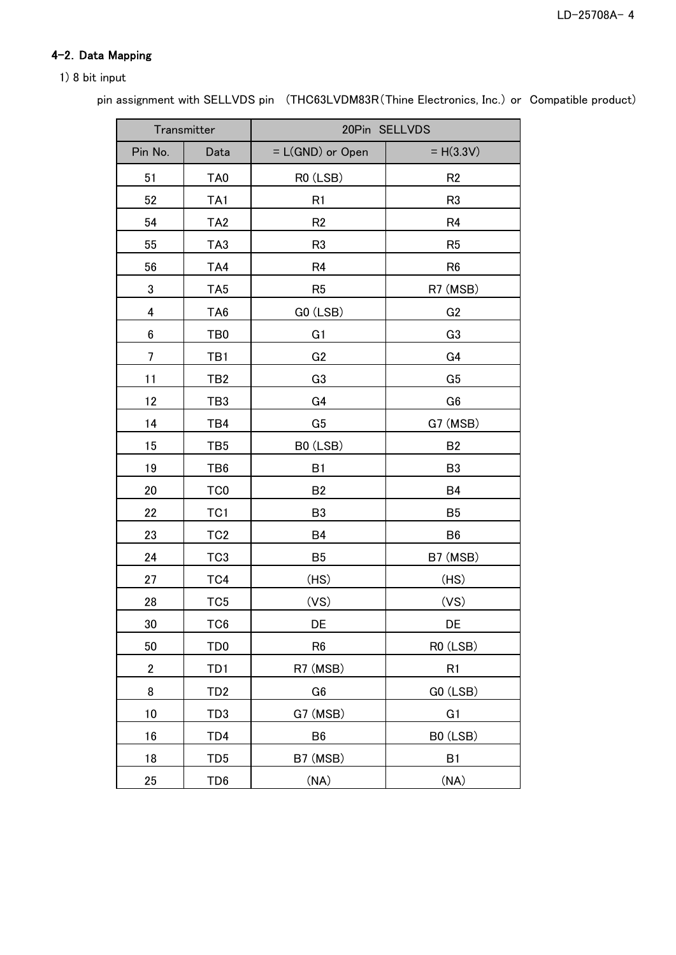### 4-2. Data Mapping

#### 1) 8 bit input

pin assignment with SELLVDS pin (THC63LVDM83R(Thine Electronics, Inc.) or Compatible product)

|                | Transmitter     | 20Pin SELLVDS      |                |  |
|----------------|-----------------|--------------------|----------------|--|
| Pin No.        | Data            | = L(GND) or Open   | $= H(3.3V)$    |  |
| 51             | TA <sub>0</sub> | R0 (LSB)           | R <sub>2</sub> |  |
| 52             | TA1             | R <sub>1</sub>     | R <sub>3</sub> |  |
| 54             | TA <sub>2</sub> | R <sub>2</sub>     | R <sub>4</sub> |  |
| 55             | TA3             | R <sub>3</sub>     | R <sub>5</sub> |  |
| 56             | TA4             | R <sub>4</sub>     | R <sub>6</sub> |  |
| 3              | TA <sub>5</sub> | R <sub>5</sub>     | R7 (MSB)       |  |
| 4              | TA <sub>6</sub> | GO (LSB)           | G <sub>2</sub> |  |
| 6              | TB <sub>0</sub> | G <sub>1</sub>     | G <sub>3</sub> |  |
| 7              | TB1             | G <sub>2</sub>     | G4             |  |
| 11             | TB <sub>2</sub> | G <sub>3</sub>     | G <sub>5</sub> |  |
| 12             | TB <sub>3</sub> | G4                 | G <sub>6</sub> |  |
| 14             | TB4             | G <sub>5</sub>     | G7 (MSB)       |  |
| 15             | TB <sub>5</sub> | B0 (LSB)           | <b>B2</b>      |  |
| 19             | TB6             | B1                 | B <sub>3</sub> |  |
| 20             | TC <sub>0</sub> | <b>B2</b>          | <b>B4</b>      |  |
| 22             | TC <sub>1</sub> | B <sub>3</sub>     | B <sub>5</sub> |  |
| 23             | TC <sub>2</sub> | <b>B4</b>          | B <sub>6</sub> |  |
| 24             | TC <sub>3</sub> | B <sub>5</sub>     | B7 (MSB)       |  |
| 27             | TC4             | (HS)               | (HS)           |  |
| 28             | TC <sub>5</sub> | (VS)               | (VS)           |  |
| 30             | TC <sub>6</sub> | DE                 | DE             |  |
| 50             | TD <sub>0</sub> | R <sub>6</sub>     | R0 (LSB)       |  |
| $\overline{2}$ | TD <sub>1</sub> | R7 (MSB)           | R <sub>1</sub> |  |
| 8              | TD <sub>2</sub> | G <sub>6</sub>     | GO (LSB)       |  |
| 10             | TD3             | G7 (MSB)           | G <sub>1</sub> |  |
| 16             | TD4             | B <sub>6</sub>     | B0 (LSB)       |  |
| 18             | TD <sub>5</sub> | B7 (MSB)           | B1             |  |
| 25             | TD <sub>6</sub> | $(N\underline{A})$ | (NA)           |  |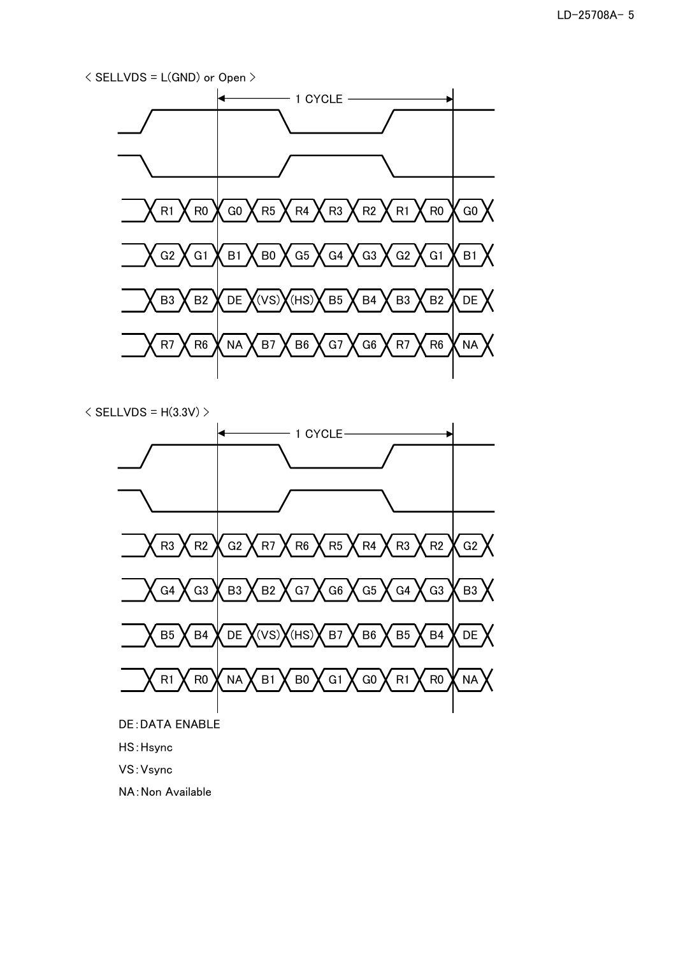



- DE:DATA ENABLE
- HS:Hsync
- VS:Vsync
- NA:Non Available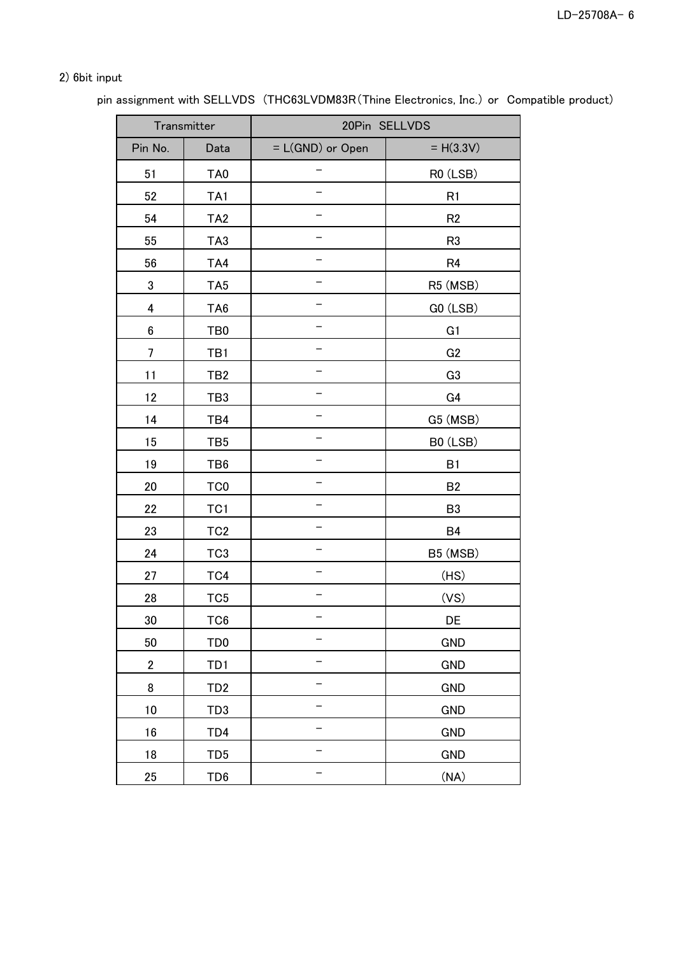### 2) 6bit input

pin assignment with SELLVDS (THC63LVDM83R(Thine Electronics, Inc.) or Compatible product)

|                  | Transmitter     |                  | 20Pin SELLVDS  |
|------------------|-----------------|------------------|----------------|
| Pin No.          | Data            | = L(GND) or Open | $= H(3.3V)$    |
| 51               | TA <sub>0</sub> |                  | RO (LSB)       |
| 52               | TA <sub>1</sub> |                  | R <sub>1</sub> |
| 54               | TA <sub>2</sub> |                  | R <sub>2</sub> |
| 55               | TA <sub>3</sub> |                  | R <sub>3</sub> |
| 56               | TA4             |                  | R <sub>4</sub> |
| 3                | TA <sub>5</sub> |                  | R5 (MSB)       |
| 4                | TA <sub>6</sub> |                  | GO (LSB)       |
| $\bf 6$          | TB <sub>0</sub> |                  | G <sub>1</sub> |
| 7                | TB1             |                  | G <sub>2</sub> |
| 11               | TB <sub>2</sub> |                  | G <sub>3</sub> |
| 12               | TB <sub>3</sub> |                  | G4             |
| 14               | TB4             |                  | G5 (MSB)       |
| 15               | TB <sub>5</sub> |                  | B0 (LSB)       |
| 19               | TB <sub>6</sub> |                  | B1             |
| 20               | TC <sub>0</sub> |                  | <b>B2</b>      |
| 22               | TC <sub>1</sub> |                  | B <sub>3</sub> |
| 23               | TC <sub>2</sub> |                  | B4             |
| 24               | TC <sub>3</sub> |                  | B5 (MSB)       |
| 27               | TC4             |                  | (HS)           |
| 28               | TC <sub>5</sub> |                  | (VS)           |
| 30               | TC <sub>6</sub> |                  | DE             |
| 50               | TD <sub>0</sub> |                  | <b>GND</b>     |
| $\boldsymbol{2}$ | TD1             |                  | <b>GND</b>     |
| 8                | TD <sub>2</sub> |                  | <b>GND</b>     |
| 10               | TD <sub>3</sub> |                  | <b>GND</b>     |
| 16               | TD4             |                  | <b>GND</b>     |
| 18               | TD <sub>5</sub> |                  | <b>GND</b>     |
| 25               | TD <sub>6</sub> |                  | (NA)           |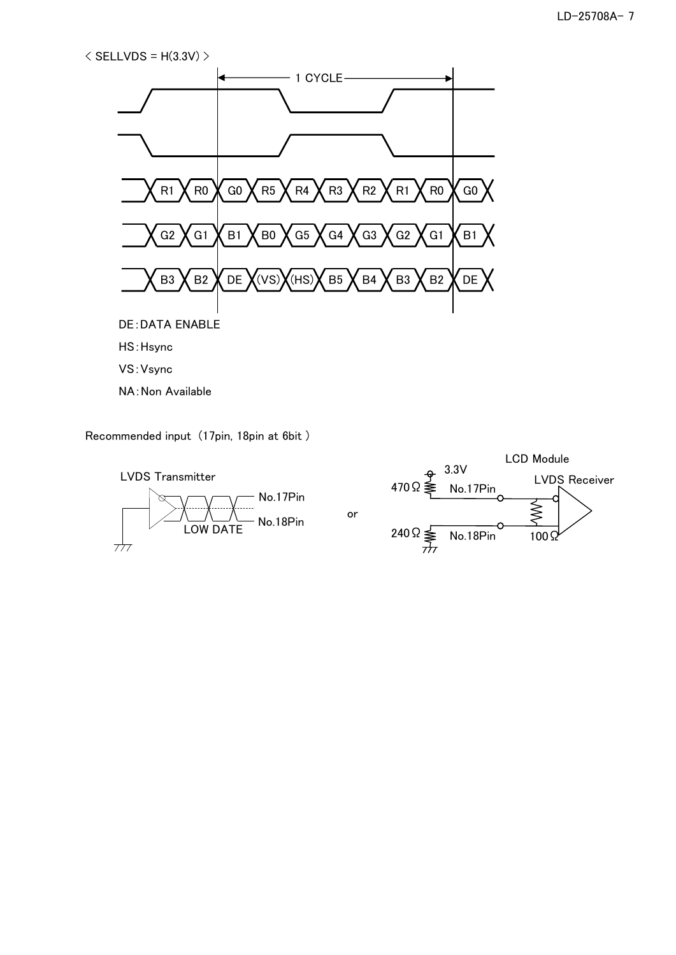$\langle$  SELLVDS = H(3.3V)  $>$ 



VS:Vsync

NA:Non Available

Recommended input (17pin, 18pin at 6bit )



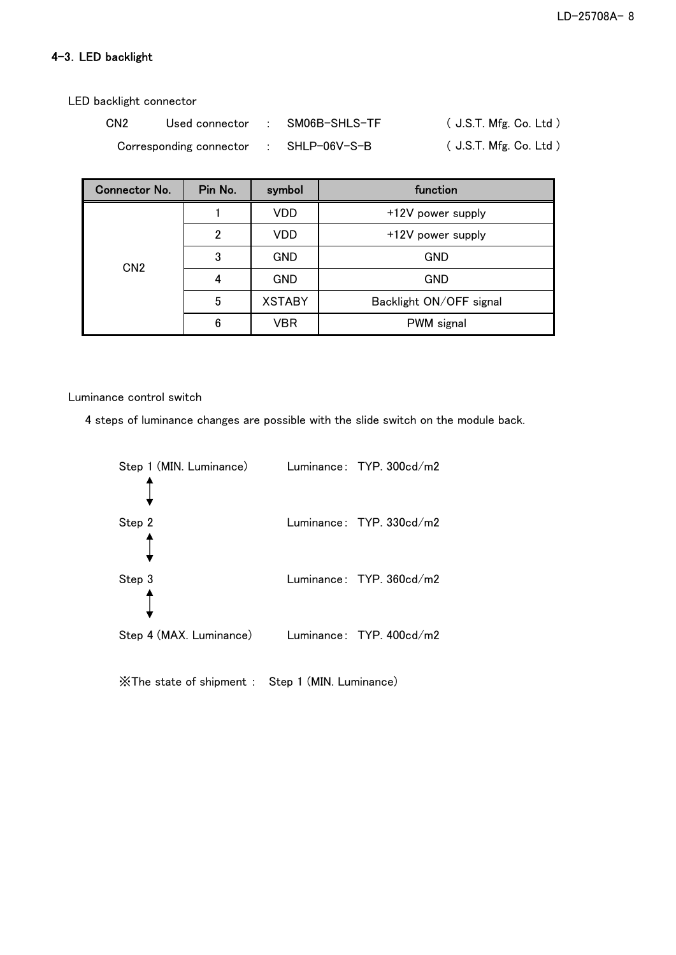### 4-3.LED backlight

LED backlight connector

| CN <sub>2</sub> | Used connector          | SM06B-SHLS-TF | $($ J.S.T. Mfg. Co. Ltd $)$ |
|-----------------|-------------------------|---------------|-----------------------------|
|                 | Corresponding connector | SHLP-06V-S-B  | (J.S.T. Mfg. Co. Ltd.)      |

| <b>Connector No.</b> | Pin No. | symbol        | function                |
|----------------------|---------|---------------|-------------------------|
|                      |         | VDD           | +12V power supply       |
|                      | 2       | VDD           | +12V power supply       |
|                      | 3       | <b>GND</b>    | <b>GND</b>              |
| CN <sub>2</sub>      |         | <b>GND</b>    | <b>GND</b>              |
|                      | 5       | <b>XSTABY</b> | Backlight ON/OFF signal |
|                      | 6       | VBR           | PWM signal              |

Luminance control switch

4 steps of luminance changes are possible with the slide switch on the module back.



※The state of shipment : Step 1 (MIN. Luminance)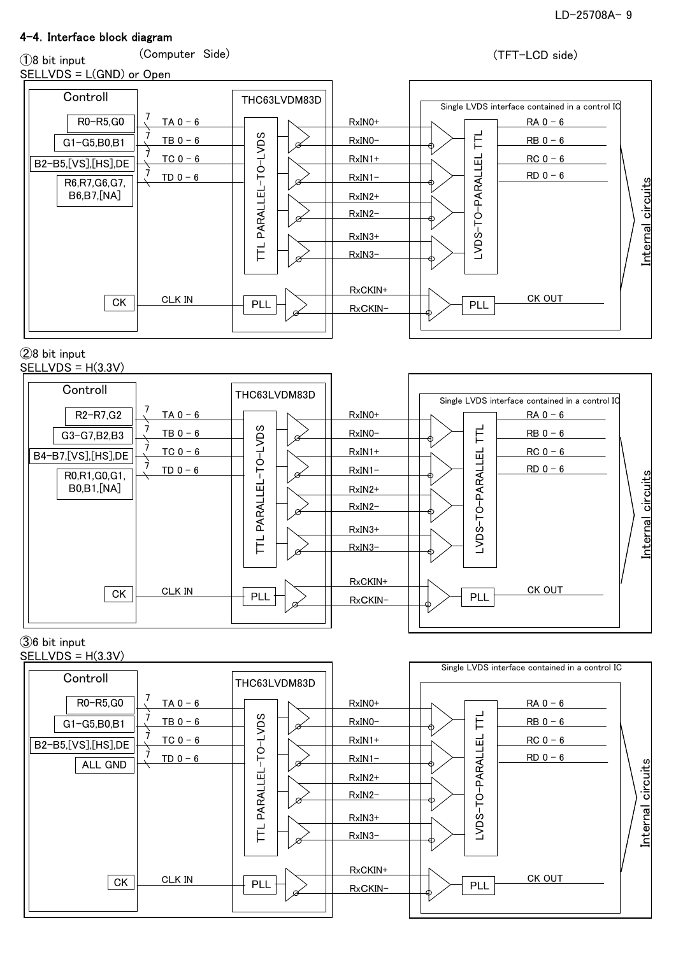### 4-4.Interface block diagram

①8 bit input

### SELLVDS = L(GND) or Open

(Computer Side) (TFT-LCD side)



#### ②8 bit input  $SELLVDS = H(3.3V)$



### ③6 bit input

 $SELLVDS = H(3.3V)$ 

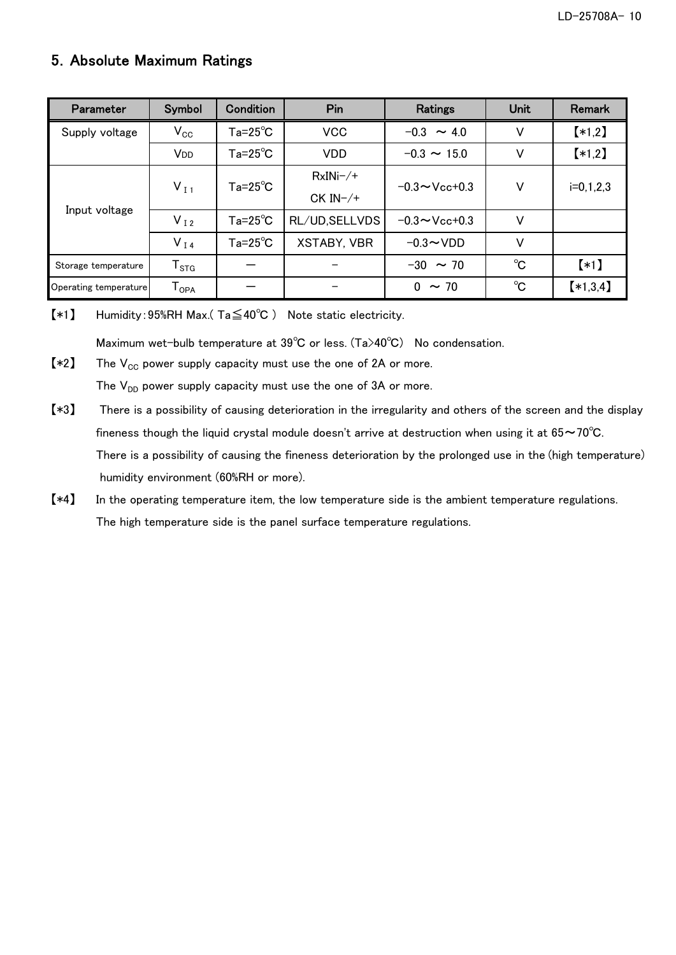### 5.Absolute Maximum Ratings

| Parameter             | Symbol                       | Condition          | Pin                | Ratings             | <b>Unit</b> | Remark      |
|-----------------------|------------------------------|--------------------|--------------------|---------------------|-------------|-------------|
| Supply voltage        | $V_{\rm CC}$                 | $Ta = 25^{\circ}C$ | <b>VCC</b>         | $-0.3 \sim 4.0$     | V           | $*1,2]$     |
|                       | V <sub>DD</sub>              | $Ta = 25^{\circ}C$ | <b>VDD</b>         | $-0.3 \sim 15.0$    | V           | $*1,2]$     |
|                       | $V_{I1}$                     | $Ta = 25^{\circ}C$ | $RxINi-/+$         | $-0.3 \sim$ Vcc+0.3 | V           |             |
| Input voltage         |                              |                    | $CK IN-/+$         |                     |             | $i=0,1,2,3$ |
|                       | $V_{I2}$                     | $Ta=25^{\circ}C$   | RL/UD, SELLVDS     | $-0.3 \sim$ Vcc+0.3 | V           |             |
|                       | $V_{I4}$                     | $Ta = 25^{\circ}C$ | <b>XSTABY, VBR</b> | $-0.3 \sim$ VDD     | V           |             |
| Storage temperature   | ${\mathsf T}_{\texttt{STG}}$ |                    |                    | $-30 \sim 70$       | $^{\circ}C$ | $(*1)$      |
| Operating temperature | ${\mathsf T}_{\mathsf{OPA}}$ |                    |                    | 0<br>$\sim$ 70      | $^{\circ}C$ | $*1,3,4]$   |

【\*1】 Humidity:95%RH Max.( Ta≦40℃ ) Note static electricity.

Maximum wet-bulb temperature at 39℃ or less. (Ta>40℃) No condensation.

 $[*2]$  The  $V_{CC}$  power supply capacity must use the one of 2A or more. The  $V_{DD}$  power supply capacity must use the one of 3A or more.

- 【\*3】 There is a possibility of causing deterioration in the irregularity and others of the screen and the display fineness though the liquid crystal module doesn't arrive at destruction when using it at  $65 \sim 70^{\circ}$ C. There is a possibility of causing the fineness deterioration by the prolonged use in the (high temperature) humidity environment (60%RH or more).
- 【\*4】 In the operating temperature item, the low temperature side is the ambient temperature regulations. The high temperature side is the panel surface temperature regulations.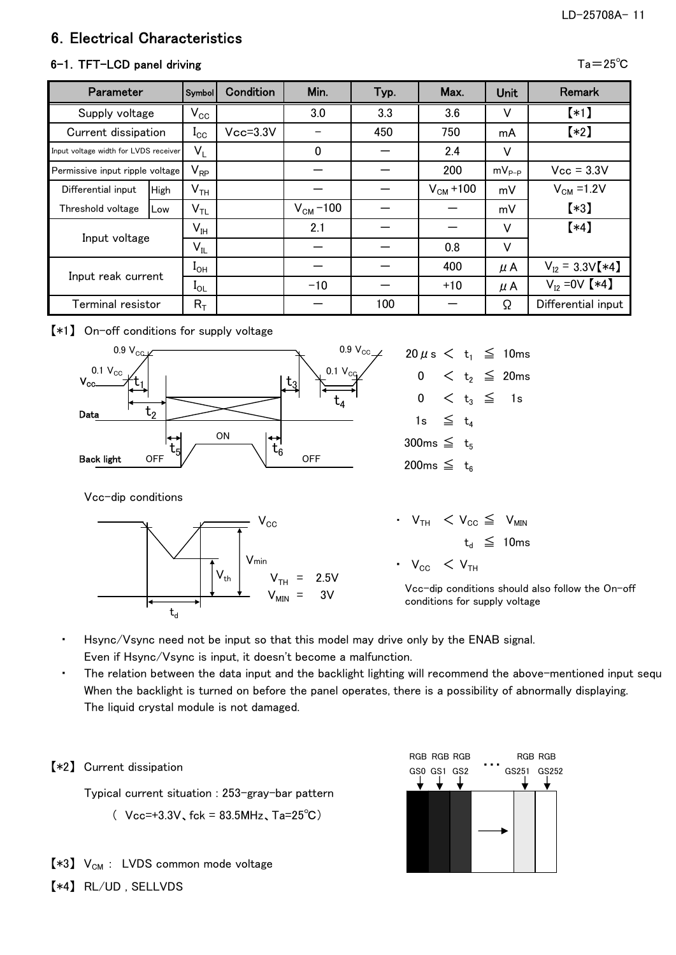### LD-25708A- 11

# 6.Electrical Characteristics

### 6-1. TFT-LCD panel driving  $\overline{a}=25^{\circ}$ C

| Parameter                             |             | <b>Symbol</b>              | Condition    | Min.          | Typ. | Max.          | <b>Unit</b> | Remark              |
|---------------------------------------|-------------|----------------------------|--------------|---------------|------|---------------|-------------|---------------------|
| Supply voltage                        |             | $V_{\rm CC}$               |              | 3.0           | 3.3  | 3.6           | V           | $(*)$               |
| Current dissipation                   |             | $\mathbf{l}_{\mathrm{CC}}$ | $Vcc = 3.3V$ |               | 450  | 750           | mA          | $\left[ *2\right]$  |
| Input voltage width for LVDS receiver |             | $V_L$                      |              | $\mathbf 0$   |      | 2.4           | V           |                     |
| Permissive input ripple voltage       |             | $\mathsf{V}_{\mathsf{RP}}$ |              |               |      | 200           | $mV_{p-p}$  | $Vcc = 3.3V$        |
| Differential input                    | <b>High</b> | $V_{TH}$                   |              |               |      | $V_{CM}$ +100 | mV          | $V_{CM}$ =1.2V      |
| Threshold voltage                     | Low         | $\mathsf{V}_{\mathsf{TL}}$ |              | $V_{CM}$ –100 |      |               | mV          | $*3]$               |
| Input voltage                         |             | $V_{IH}$                   |              | 2.1           |      |               | V           | $(*4)$              |
|                                       |             | $V_{IL}$                   |              |               |      | 0.8           | V           |                     |
|                                       |             | $I_{OH}$                   |              |               |      | 400           | $\mu$ A     | $V_{12} = 3.3V[*4]$ |
| Input reak current                    |             | $I_{OL}$                   |              | $-10$         |      | $+10$         | $\mu$ A     | $V_{12} = 0V$ [*4]  |
| Terminal resistor                     |             | $R_T$                      |              |               | 100  |               | Ω           | Differential input  |

【\*1】 On-off conditions for supply voltage



Vcc-dip conditions



| $20 \mu s < t_1 \leq 10$ ms |  |                               |
|-----------------------------|--|-------------------------------|
| 0                           |  | $<$ t <sub>2</sub> $\le$ 20ms |
| 0                           |  | $< t_3 \leq 1$ s              |
| 1s $\leq t_4$               |  |                               |
| 300ms $\leq t_5$            |  |                               |
| 200ms $\leq t_6$            |  |                               |

 $\cdot$  V<sub>TH</sub>  $\lt V_{\text{CC}} \leq$  V<sub>MIN</sub>  $t_d \leq 10$ ms  $\cdot$  V<sub>CC</sub>  $\lt$  V<sub>TH</sub>

Vcc-dip conditions should also follow the On-off conditions for supply voltage

- Hsync/Vsync need not be input so that this model may drive only by the ENAB signal. Even if Hsync/Vsync is input, it doesn't become a malfunction.
- The relation between the data input and the backlight lighting will recommend the above-mentioned input sequ When the backlight is turned on before the panel operates, there is a possibility of abnormally displaying. The liquid crystal module is not damaged.



 $[*3]$  V<sub>CM</sub> : LVDS common mode voltage

【\*4】 RL/UD , SELLVDS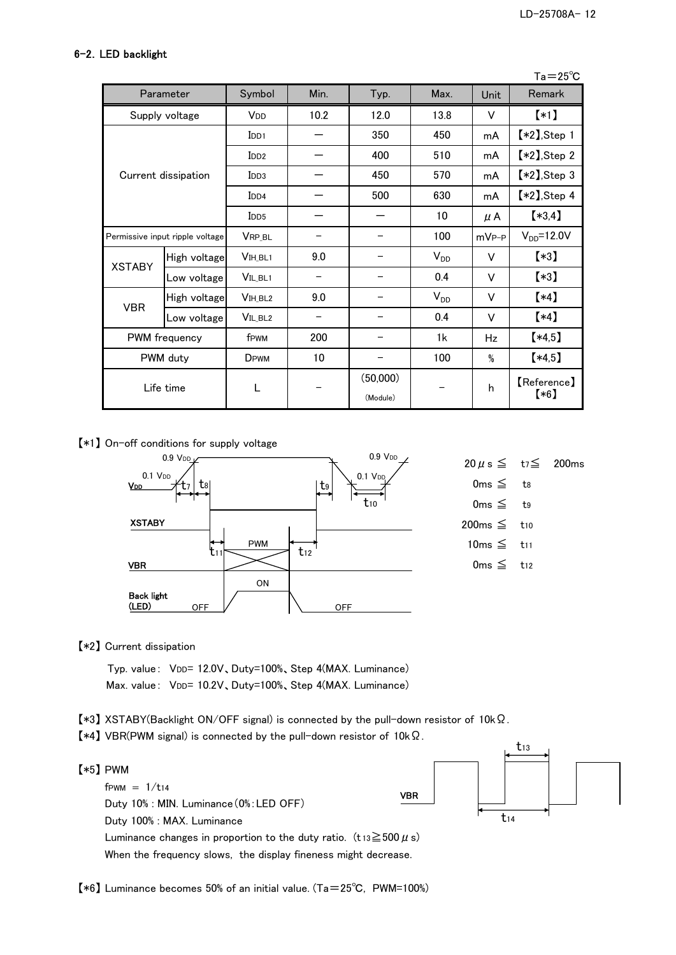#### 6-2.LED backlight

Ta=25℃

|               | Parameter                       | Symbol                | Min. | Typ.                 | Max.     | Unit       | Remark                       |
|---------------|---------------------------------|-----------------------|------|----------------------|----------|------------|------------------------------|
|               | Supply voltage                  | <b>V<sub>DD</sub></b> | 10.2 | 12.0                 | 13.8     | v          | $*1$                         |
|               |                                 | I <sub>DD1</sub>      |      | 350                  | 450      | mA         | $*2$ , Step 1                |
|               |                                 | I <sub>DD2</sub>      |      | 400                  | 510      | mA         | $\left[ *2 \right]$ , Step 2 |
|               | Current dissipation             | I <sub>DD3</sub>      |      | 450                  | 570      | mA         | $*2$ , Step 3                |
|               |                                 | I <sub>DD4</sub>      |      | 500                  | 630      | mA         | $*2$ , Step 4                |
|               |                                 | I <sub>DD5</sub>      |      |                      | 10       | $\mu$ A    | $(*3,4)$                     |
|               | Permissive input ripple voltage | <b>VRP BL</b>         |      |                      | 100      | $mV_{P-P}$ | $V_{DD} = 12.0V$             |
|               | High voltage                    | VIH_BL1               | 9.0  |                      | $V_{DD}$ | v          | $\left[ *3\right]$           |
| <b>XSTABY</b> | Low voltage                     | VIL_BL1               |      |                      | 0.4      | v          | $\left[ *3\right]$           |
| <b>VBR</b>    | High voltage                    | V <sub>IH</sub> BL2   | 9.0  |                      | $V_{DD}$ | v          | $(*4)$                       |
|               | Low voltage                     | VIL_BL <sub>2</sub>   |      |                      | 0.4      | v          | $(*4)$                       |
|               | <b>PWM</b> frequency            | f <sub>PWM</sub>      | 200  |                      | 1k       | Hz         | $*4,5]$                      |
|               | PWM duty                        | D <sub>PWM</sub>      | 10   |                      | 100      | $\%$       | $*4,5]$                      |
|               | Life time                       | L                     |      | (50,000)<br>(Module) |          | h          | 【Reference】<br>$(*6)$        |

【\*1】 On-off conditions for supply voltage



【\*2】 Current dissipation

Typ. value: VDD= 12.0V、Duty=100%、Step 4(MAX. Luminance) Max. value: VDD= 10.2V、Duty=100%、Step 4(MAX. Luminance)

- 【\*3】 XSTABY(Backlight ON/OFF signal) is connected by the pull-down resistor of 10kΩ.
- 【\*4】 VBR(PWM signal) is connected by the pull-down resistor of 10kΩ.



【\*6】 Luminance becomes 50% of an initial value. (Ta=25℃, PWM=100%)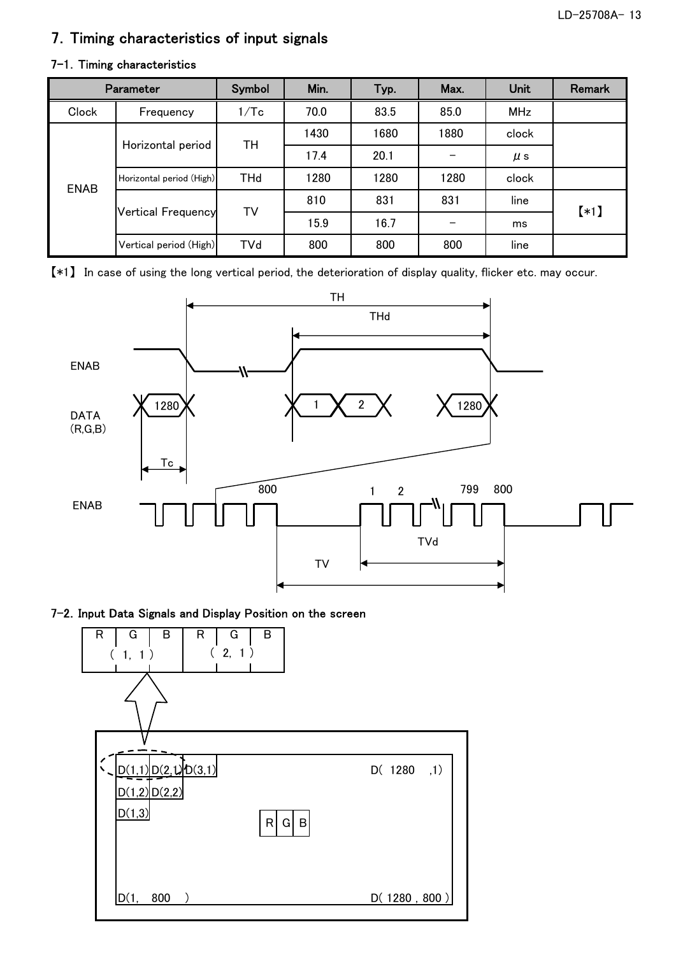### 7.Timing characteristics of input signals

|             | <b>Parameter</b>          | Symbol     | Min. | Typ. | Max. | Unit       | <b>Remark</b> |  |
|-------------|---------------------------|------------|------|------|------|------------|---------------|--|
| Clock       | Frequency                 | 1/Tc       | 70.0 | 83.5 | 85.0 | <b>MHz</b> |               |  |
|             |                           | TН         | 1430 | 1680 | 1880 | clock      |               |  |
|             | Horizontal period         |            | 17.4 | 20.1 |      | $\mu$ s    |               |  |
| <b>ENAB</b> | Horizontal period (High)  | <b>THd</b> | 1280 | 1280 | 1280 | clock      |               |  |
|             |                           |            | 810  | 831  | 831  | line       |               |  |
|             | <b>Vertical Frequency</b> | TV         | 15.9 | 16.7 |      | ms         | $(*)$         |  |
|             | Vertical period (High)    | <b>TVd</b> | 800  | 800  | 800  | line       |               |  |

### 7-1. Timing characteristics

【\*1】 In case of using the long vertical period, the deterioration of display quality, flicker etc. may occur.



### 7-2. Input Data Signals and Display Position on the screen

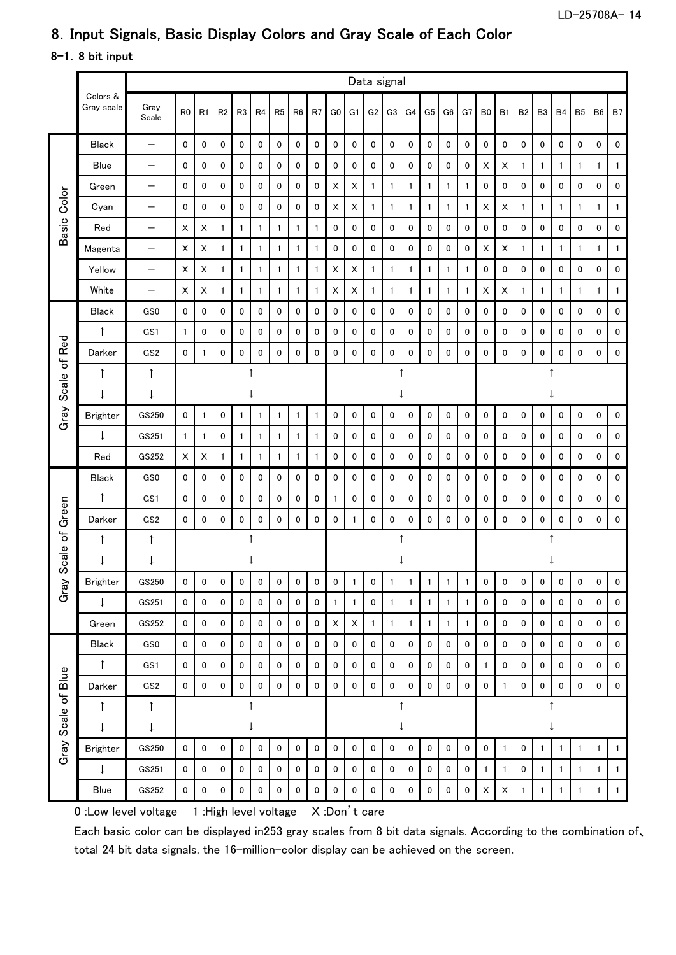# 8.Input Signals, Basic Display Colors and Gray Scale of Each Color

### 8-1.8 bit input

|                    |                        |                          | Data signal    |                |                |                |                |                |                |                |                           |                |                |                |              |                |              |              |                |                |           |                |              |                |                |              |
|--------------------|------------------------|--------------------------|----------------|----------------|----------------|----------------|----------------|----------------|----------------|----------------|---------------------------|----------------|----------------|----------------|--------------|----------------|--------------|--------------|----------------|----------------|-----------|----------------|--------------|----------------|----------------|--------------|
|                    | Colors &<br>Gray scale | Gray<br>Scale            | R <sub>0</sub> | R <sub>1</sub> | R <sub>2</sub> | R <sub>3</sub> | R <sub>4</sub> | R <sub>5</sub> | R <sub>6</sub> | R <sub>7</sub> | G <sub>0</sub>            | G <sub>1</sub> | G <sub>2</sub> | G <sub>3</sub> | G4           | G <sub>5</sub> | G6           | G7           | B <sub>0</sub> | B1             | <b>B2</b> | B <sub>3</sub> | <b>B4</b>    | B <sub>5</sub> | B <sub>6</sub> | <b>B7</b>    |
|                    | <b>Black</b>           |                          | 0              | 0              | 0              | 0              | 0              | 0              | $\mathbf 0$    | 0              | 0                         | 0              | 0              | 0              | 0            | 0              | 0            | 0            | $\pmb{0}$      | 0              | 0         | 0              | $\pmb{0}$    | 0              | 0              | 0            |
|                    | Blue                   |                          | 0              | 0              | 0              | 0              | 0              | 0              | $\mathbf 0$    | 0              | 0                         | 0              | 0              | 0              | 0            | 0              | 0            | 0            | X              | X              | 1         | 1              | 1            | 1              | 1              | 1            |
|                    | Green                  | $\overline{\phantom{0}}$ | $\pmb{0}$      | 0              | 0              | 0              | 0              | 0              | 0              | 0              | X                         | X              | 1              | 1              | 1            | 1              | 1            | 1            | $\pmb{0}$      | 0              | 0         | 0              | 0            | 0              | 0              | 0            |
|                    | Cyan                   | $\overline{\phantom{0}}$ | 0              | 0              | 0              | 0              | 0              | 0              | 0              | 0              | X                         | X              | $\mathbf{1}$   | 1              | 1            | $\mathbf{1}$   | $\mathbf{1}$ | $\mathbf{1}$ | X              | X              | 1         | $\mathbf{1}$   | $\mathbf{1}$ | $\mathbf{1}$   | 1              | 1            |
| Basic Color        | Red                    |                          | $\times$       | X              | $\mathbf{1}$   | 1              | 1              | 1              | $\mathbf{1}$   | 1              | 0                         | 0              | 0              | 0              | 0            | 0              | 0            | 0            | 0              | 0              | 0         | 0              | 0            | 0              | 0              | 0            |
|                    | Magenta                | $\qquad \qquad -$        | X              | X              | $\mathbf{1}$   | 1              | 1              | 1              | $\mathbf{1}$   | 1              | 0                         | 0              | 0              | 0              | 0            | 0              | 0            | 0            | X              | X              | 1         | 1              | $\mathbf{1}$ | $\mathbf{1}$   | 1              | 1            |
|                    | Yellow                 |                          | $\times$       | $\pmb{\times}$ | $\mathbf{1}$   | 1              | $\mathbf{1}$   | 1              | $\mathbf{1}$   | 1              | $\boldsymbol{\mathsf{X}}$ | $\sf X$        | $\mathbf{1}$   | $\mathbf{1}$   | 1            | $\mathbf{1}$   | $\mathbf{1}$ | 1            | $\pmb{0}$      | 0              | 0         | 0              | 0            | 0              | 0              | 0            |
|                    | White                  | $\overline{\phantom{0}}$ | X              | $\pmb{\times}$ | $\mathbf{1}$   | $\mathbf{1}$   | $\mathbf{1}$   | 1              | $\mathbf{1}$   | $\mathbf{1}$   | $\boldsymbol{\mathsf{X}}$ | X              | $\mathbf{1}$   | $\mathbf{1}$   | $\mathbf{1}$ | $\mathbf{1}$   | $\mathbf{1}$ | $\mathbf{1}$ | $\sf X$        | $\pmb{\times}$ | 1         | 1              | $\mathbf{1}$ | $\mathbf{1}$   | $\mathbf{1}$   | 1            |
|                    | <b>Black</b>           | GS0                      | 0              | 0              | 0              | 0              | 0              | 0              | 0              | 0              | 0                         | 0              | 0              | 0              | 0            | 0              | 0            | 0            | $\pmb{0}$      | 0              | 0         | 0              | 0            | 0              | 0              | 0            |
|                    | $\uparrow$             | GS1                      | $\mathbf{1}$   | 0              | 0              | 0              | 0              | 0              | 0              | 0              | 0                         | 0              | 0              | 0              | 0            | 0              | 0            | 0            | 0              | 0              | 0         | 0              | 0            | 0              | 0              | 0            |
| Gray Scale of Red  | Darker                 | GS <sub>2</sub>          | 0              | $\mathbf{1}$   | $\pmb{0}$      | 0              | $\pmb{0}$      | 0              | 0              | 0              | 0                         | $\pmb{0}$      | $\pmb{0}$      | 0              | 0            | $\mathbf 0$    | 0            | 0            | $\pmb{0}$      | 0              | 0         | 0              | $\mathbf 0$  | $\pmb{0}$      | 0              | 0            |
|                    | 1                      | $\uparrow$               |                |                |                | $\uparrow$     |                |                |                |                |                           |                |                |                | $\uparrow$   |                |              |              |                |                |           | 1              |              |                |                |              |
|                    | J                      | $\downarrow$             |                |                |                |                |                |                |                |                | $\downarrow$              |                |                |                |              |                |              |              |                |                |           |                |              |                |                |              |
|                    | <b>Brighter</b>        | GS250                    | 0              | 1              | 0              | $\mathbf{1}$   | $\mathbf{1}$   | 1              | 1              | $\mathbf{1}$   | 0                         | 0              | 0              | 0              | 0            | 0              | 0            | $\mathbf 0$  | 0              | 0              | 0         | 0              | 0            | 0              | $\mathbf 0$    | 0            |
|                    | $\downarrow$           | GS251                    | $\mathbf{1}$   | $\mathbf{1}$   | $\mathbf 0$    | 1              | $\mathbf{1}$   | 1              | $\mathbf{1}$   | $\mathbf{1}$   | 0                         | 0              | 0              | 0              | 0            | 0              | 0            | 0            | $\mathbf 0$    | 0              | 0         | 0              | 0            | 0              | 0              | 0            |
|                    | Red                    | GS252                    | X              | X              | $\mathbf{1}$   | $\mathbf{1}$   | $\mathbf{1}$   | 1              | 1              | $\mathbf{1}$   | 0                         | 0              | 0              | 0              | 0            | 0              | 0            | 0            | 0              | 0              | 0         | 0              | 0            | 0              | 0              | 0            |
|                    | <b>Black</b>           | GS0                      | 0              | 0              | $\mathbf 0$    | 0              | 0              | 0              | 0              | 0              | 0                         | 0              | 0              | 0              | 0            | 0              | 0            | 0            | $\pmb{0}$      | 0              | 0         | 0              | 0            | 0              | 0              | 0            |
|                    | ↑                      | GS1                      | 0              | 0              | 0              | 0              | 0              | 0              | 0              | 0              | 1                         | 0              | 0              | 0              | 0            | 0              | 0            | 0            | 0              | 0              | 0         | 0              | 0            | 0              | 0              | 0            |
| Green              | Darker                 | GS <sub>2</sub>          | 0              | 0              | 0              | 0              | 0              | 0              | 0              | 0              | 0                         | 1              | 0              | 0              | 0            | 0              | 0            | 0            | 0              | 0              | 0         | 0              | 0            | 0              | 0              | 0            |
|                    | $\uparrow$             | $\uparrow$               |                |                |                |                | ↑              |                |                |                | $\uparrow$                |                |                |                |              |                |              |              |                |                |           |                |              |                |                |              |
| Scale of           | ↓                      | $\downarrow$             |                |                |                |                |                |                |                |                | $\downarrow$              |                |                |                |              |                |              |              |                |                |           |                |              |                |                |              |
| Gray               | <b>Brighter</b>        | GS250                    | 0              | 0              | $\pmb{0}$      | 0              | 0              | 0              | 0              | 0              | 0                         | 1              | 0              | 1              | 1            | 1              | 1            | 1            | 0              | 0              | 0         | 0              | 0            | 0              | 0              | 0            |
|                    | $\downarrow$           | GS251                    | $\pmb{0}$      | $\mathbf 0$    | $\pmb{0}$      | 0              | $\pmb{0}$      | 0              | $\pmb{0}$      | $\mathbf 0$    | $\mathbf{1}$              | $\mathbf{1}$   | $\mathbf 0$    | $\mathbf{1}$   | $\mathbf{1}$ | $\mathbf{1}$   | $\mathbf{1}$ | $\mathbf{1}$ | $\pmb{0}$      | $\pmb{0}$      | 0         | $\mathbf 0$    | $\mathbf 0$  | $\pmb{0}$      | $\mathbf 0$    | 0            |
|                    | Green                  | GS252                    | 0              | 0              | $\pmb{0}$      | 0              | $\pmb{0}$      | 0              | 0              | $\mathbf 0$    | X                         | X              | $\mathbf{1}$   | $\mathbf{1}$   | 1            | $\mathbf{1}$   | $\mathbf{1}$ | $\mathbf{1}$ | $\pmb{0}$      | $\mathbf 0$    | 0         | 0              | 0            | $\pmb{0}$      | 0              | 0            |
|                    | <b>Black</b>           | GS0                      | 0              | 0              | 0              | 0              | 0              | 0              | 0              | $\mathbf 0$    | $\mathbf 0$               | $\pmb{0}$      | 0              | 0              | 0            | $\mathbf 0$    | $\mathbf 0$  | $\mathbf 0$  | 0              | 0              | 0         | 0              | 0            | $\mathbf 0$    | $\mathbf 0$    | 0            |
|                    | $\uparrow$             | GS1                      | 0              | 0              | 0              | 0              | 0              | 0              | 0              | $\mathbf 0$    | 0                         | 0              | 0              | 0              | 0            | 0              | 0            | 0            | $\mathbf{1}$   | 0              | 0         | 0              | 0            | 0              | $\mathbf 0$    | 0            |
|                    | Darker                 | GS <sub>2</sub>          | 0              | 0              | $\pmb{0}$      | $\mathbf 0$    | 0              | 0              | $\mathbf 0$    | $\pmb{0}$      | 0                         | $\mathbf 0$    | $\pmb{0}$      | 0              | 0            | $\mathbf 0$    | $\pmb{0}$    | $\pmb{0}$    | $\pmb{0}$      | $\mathbf{1}$   | 0         | $\mathbf 0$    | 0            | $\pmb{0}$      | 0              | $\pmb{0}$    |
|                    | ↑                      | $\uparrow$               |                |                |                | $\uparrow$     |                |                |                |                |                           |                |                | $\uparrow$     |              |                |              |              |                |                |           | 1              |              |                |                |              |
|                    | $\downarrow$           | $\downarrow$             |                |                |                |                | $\downarrow$   |                |                |                |                           |                |                |                | $\downarrow$ |                |              |              |                |                |           |                | ļ            |                |                |              |
| Gray Scale of Blue | Brighter               | GS250                    | 0              | 0              | 0              | 0              | 0              | 0              | $\mathbf 0$    | $\mathbf 0$    | 0                         | 0              | 0              | 0              | 0            | 0              | 0            | $\pmb{0}$    | $\mathbf 0$    | $\mathbf{1}$   | 0         | 1              | 1            | $\mathbf{1}$   | $\mathbf{1}$   | $\mathbf{1}$ |
|                    | $\downarrow$           | GS251                    | 0              | 0              | 0              | 0              | 0              | 0              | $\mathbf 0$    | 0              | $\mathbf 0$               | $\mathbf 0$    | 0              | 0              | 0            | 0              | 0            | 0            | $\mathbf{1}$   | $\mathbf{1}$   | 0         | $\mathbf{1}$   | $\mathbf{1}$ | $\mathbf{1}$   | $\mathbf{1}$   | $\mathbf{1}$ |
|                    | Blue                   | GS252                    | 0              | 0              | $\pmb{0}$      | $\mathbf 0$    | 0              | 0              | 0              | 0              | 0                         | 0              | 0              | 0              | 0            | 0              | 0            | 0            | $\mathsf X$    | $\mathsf X$    | 1         | 1              | $\mathbf{1}$ | $\mathbf{1}$   | $\mathbf{1}$   | $\mathbf{1}$ |

0 :Low level voltage 1 :High level voltage X :Don't care

Each basic color can be displayed in253 gray scales from 8 bit data signals. According to the combination of、 total 24 bit data signals, the 16-million-color display can be achieved on the screen.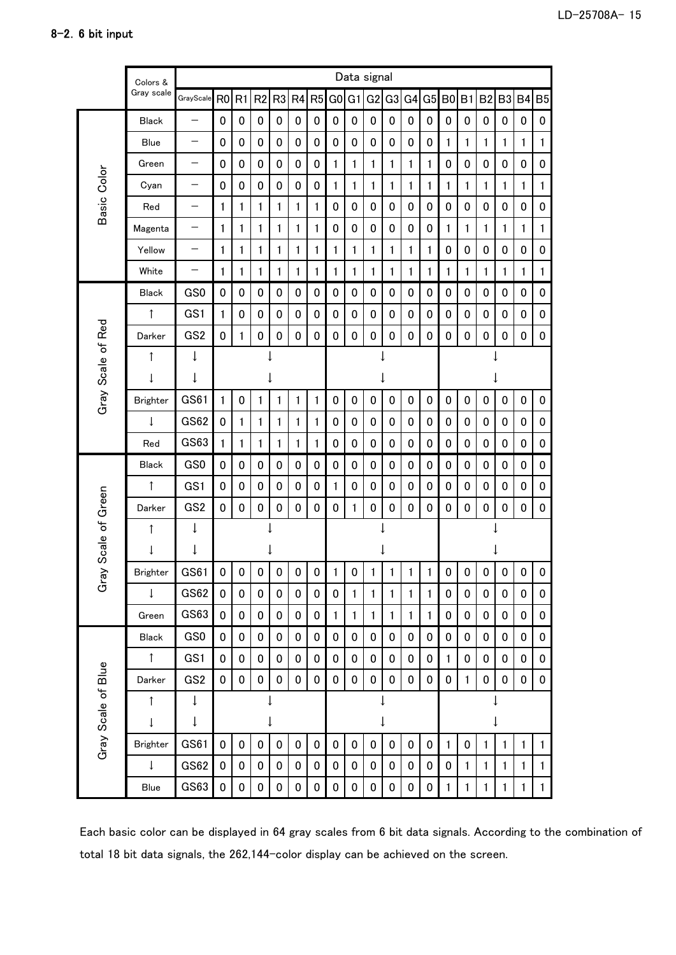|                     | Colors &        |                          | Data signal    |             |                |                |           |                |                |                |                |                |                |    |                |              |                |                |             |                |  |
|---------------------|-----------------|--------------------------|----------------|-------------|----------------|----------------|-----------|----------------|----------------|----------------|----------------|----------------|----------------|----|----------------|--------------|----------------|----------------|-------------|----------------|--|
|                     | Gray scale      | GrayScale                | R <sub>0</sub> | R1          | R <sub>2</sub> | R <sub>3</sub> | R4        | R <sub>5</sub> | G <sub>0</sub> | G <sub>1</sub> | G <sub>2</sub> | G <sub>3</sub> | G <sub>4</sub> | G5 | B <sub>0</sub> | B1           | B <sub>2</sub> | B <sub>3</sub> | <b>B4</b>   | B <sub>5</sub> |  |
|                     | <b>Black</b>    | —                        | 0              | 0           | 0              | 0              | 0         | 0              | 0              | 0              | 0              | 0              | 0              | 0  | 0              | 0            | $\pmb{0}$      | 0              | 0           | 0              |  |
|                     | Blue            | —                        | 0              | $\mathbf 0$ | $\mathbf 0$    | 0              | 0         | 0              | $\mathbf 0$    | $\bf{0}$       | 0              | 0              | 0              | 0  | $\mathbf{1}$   | $\mathbf{1}$ | 1              | 1              | 1           | 1              |  |
|                     | Green           | $\overline{\phantom{0}}$ | 0              | 0           | $\mathbf 0$    | 0              | $\pmb{0}$ | 0              | $\mathbf{1}$   | 1              | $\mathbf{1}$   | 1              | $\mathbf{1}$   | 1  | 0              | 0            | $\pmb{0}$      | 0              | 0           | $\mathbf 0$    |  |
|                     | Cyan            | —                        | 0              | 0           | $\mathbf 0$    | $\pmb{0}$      | 0         | 0              | $\mathbf{1}$   | 1              | 1              | 1              | 1              | 1  | 1              | 1            | 1              | 1              | 1           | 1              |  |
| Basic Color         | Red             | —                        | 1              | 1           | 1              | 1              | 1         | 1              | 0              | 0              | 0              | 0              | 0              | 0  | 0              | 0            | 0              | 0              | 0           | 0              |  |
|                     | Magenta         | —                        | 1              | 1           | 1              | 1              | 1         | 1              | $\mathbf 0$    | 0              | 0              | 0              | 0              | 0  | 1              | 1            | 1              | 1              | 1           | 1              |  |
|                     | Yellow          | —                        | 1              | 1           | 1              | 1              | 1         | 1              | $\mathbf{1}$   | 1              | 1              | 1              | 1              | 1  | 0              | 0            | $\pmb{0}$      | 0              | 0           | 0              |  |
|                     | White           | —                        | 1              | 1           | 1              | 1              | 1         | 1              | $\mathbf{1}$   | 1              | 1              | 1              | 1              | 1  | 1              | 1            | 1              | 1              | 1           | $\mathbf{1}$   |  |
|                     | <b>Black</b>    | GS0                      | $\pmb{0}$      | $\mathbf 0$ | $\mathbf 0$    | 0              | $\pmb{0}$ | 0              | $\mathbf 0$    | 0              | 0              | 0              | 0              | 0  | 0              | 0            | $\mathbf 0$    | 0              | 0           | 0              |  |
|                     | $\uparrow$      | GS1                      | 1              | 0           | $\mathbf 0$    | 0              | 0         | 0              | 0              | 0              | 0              | 0              | 0              | 0  | 0              | 0            | $\pmb{0}$      | 0              | 0           | 0              |  |
|                     | Darker          | GS <sub>2</sub>          | 0              | 1           | 0              | 0              | 0         | 0              | $\mathbf 0$    | $\mathbf 0$    | $\mathbf 0$    | 0              | 0              | 0  | 0              | 0            | 0              | 0              | 0           | 0              |  |
|                     | ↑               | ţ                        |                |             |                |                |           |                |                |                |                |                |                |    |                |              |                |                |             |                |  |
|                     | t               | ţ                        |                |             |                |                |           |                |                |                |                |                |                |    |                |              |                |                |             |                |  |
| Gray Scale of Red   | <b>Brighter</b> | GS61                     | 1              | 0           | 1              | 1              | 1         | $\mathbf{1}$   | $\mathbf 0$    | $\mathbf 0$    | 0              | 0              | 0              | 0  | 0              | 0            | 0              | 0              | 0           | $\mathbf 0$    |  |
|                     | ↓               | <b>GS62</b>              | 0              | 1           | 1              | 1              | 1         | 1              | $\mathbf 0$    | 0              | 0              | 0              | 0              | 0  | 0              | 0            | 0              | 0              | 0           | $\mathbf 0$    |  |
|                     | Red             | GS63                     | 1              | 1           | 1              | 1              | 1         | 1              | $\mathbf 0$    | $\bf{0}$       | 0              | 0              | 0              | 0  | 0              | 0            | $\pmb{0}$      | 0              | 0           | $\mathbf 0$    |  |
|                     | <b>Black</b>    | GS <sub>0</sub>          | 0              | 0           | 0              | 0              | 0         | 0              | $\mathbf 0$    | 0              | 0              | 0              | 0              | 0  | 0              | 0            | 0              | 0              | 0           | 0              |  |
|                     | $\uparrow$      | GS1                      | 0              | 0           | $\mathbf 0$    | 0              | 0         | 0              | $\mathbf{1}$   | 0              | 0              | 0              | 0              | 0  | 0              | 0            | $\mathbf 0$    | 0              | 0           | $\mathbf 0$    |  |
| Scale of Green      | Darker          | GS <sub>2</sub>          | 0              | 0           | 0              | 0              | 0         | 0              | 0              | 1              | 0              | 0              | 0              | 0  | 0              | 0            | 0              | 0              | 0           | 0              |  |
|                     | ↑               | ↓                        |                |             |                |                |           |                |                |                |                |                |                |    |                |              |                |                |             |                |  |
|                     | ↓               | ↓                        |                |             |                |                |           |                |                |                |                |                |                |    |                |              |                |                |             |                |  |
| ر <del>ة</del><br>م | <b>Brighter</b> | GS61                     | $\pmb{0}$      | $\pmb{0}$   | $\bf{0}$       | 0              | 0         | 0              | $\mathbf{1}$   | 0              | 1              | 1              | 1              | 1  | 0              | $\pmb{0}$    | 0              | 0              | $\mathbf 0$ | $\mathbf{0}$   |  |
|                     | $\downarrow$    | <b>GS62</b>              | 0              | 0           | 0              | 0              | $\pmb{0}$ | 0              | 0              | 1              | 1              | 1              | 1              | 1  | 0              | 0            | 0              | 0              | 0           | 0              |  |
|                     | Green           | GS63                     | 0              | 0           | $\mathbf 0$    | 0              | 0         | 0              | $\mathbf{1}$   | 1              | 1              | 1              | 1              | 1  | 0              | 0            | 0              | 0              | 0           | 0              |  |
|                     | Black           | GS0                      | 0              | 0           | 0              | 0              | 0         | 0              | 0              | 0              | 0              | 0              | 0              | 0  | 0              | 0            | 0              | 0              | 0           | 0              |  |
|                     | $\uparrow$      | GS1                      | 0              | 0           | 0              | $\pmb{0}$      | $\pmb{0}$ | 0              | 0              | 0              | 0              | 0              | 0              | 0  | 1              | 0            | 0              | 0              | 0           | 0              |  |
| Gray Scale of Blue  | Darker          | GS <sub>2</sub>          | 0              | 0           | $\pmb{0}$      | $\pmb{0}$      | $\pmb{0}$ | $\pmb{0}$      | 0              | $\pmb{0}$      | 0              | 0              | 0              | 0  | 0              | $\mathbf{1}$ | 0              | 0              | 0           | 0              |  |
|                     | ↑               | $\downarrow$             |                |             |                |                |           |                |                |                | ↓              |                |                |    |                |              |                |                |             |                |  |
|                     | ↓               | ↓                        |                |             |                | ↓              |           |                |                |                | ↓              |                |                |    |                |              |                | ↓              |             |                |  |
|                     | <b>Brighter</b> | GS61                     | $\mathbf 0$    | 0           | $\pmb{0}$      | 0              | 0         | $\pmb{0}$      | 0              | 0              | 0              | 0              | 0              | 0  | 1              | 0            | 1              | 1              | 1           | 1              |  |
|                     | ↓               | <b>GS62</b>              | 0              | 0           | $\pmb{0}$      | 0              | $\pmb{0}$ | 0              | 0              | 0              | 0              | 0              | 0              | 0  | 0              | $\mathbf{1}$ | 1              | 1              | 1           | $\mathbf{1}$   |  |
|                     | Blue            | GS63                     | 0              | 0           | 0              | 0              | 0         | 0              | $\pmb{0}$      | 0              | 0              | 0              | 0              | 0  |                | 1            | 1              | 1              | 1           | $\mathbf{1}$   |  |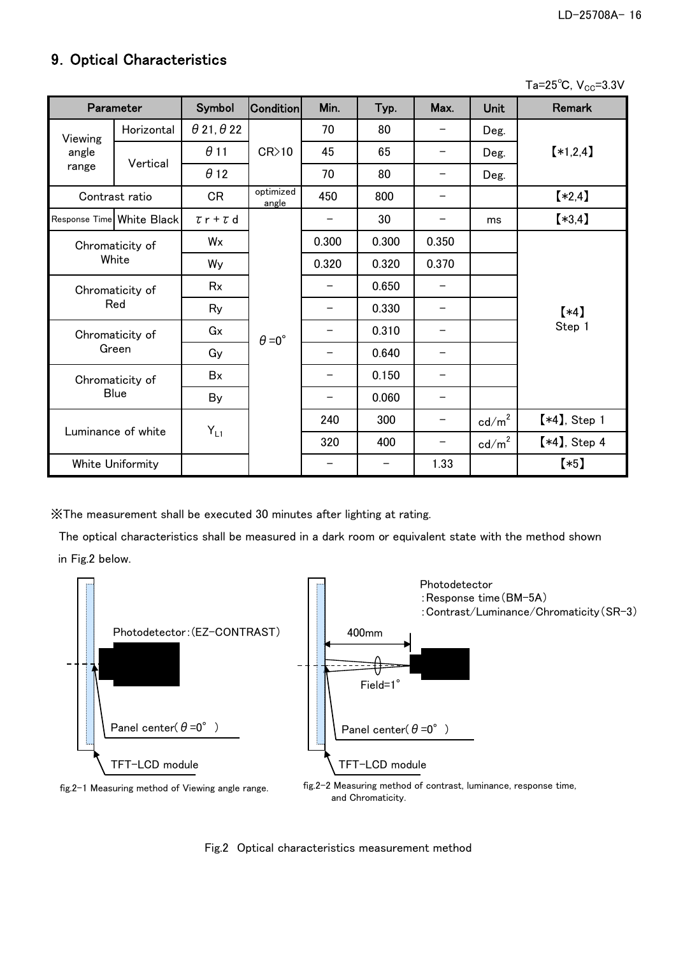## 9. Optical Characteristics

Ta= $25^{\circ}$ C, V<sub>CC</sub>=3.3V

| Parameter |                           | Symbol                   | <b>Condition</b>     | Min.                     | Typ.  | Max.              | <b>Unit</b>       | <b>Remark</b>   |
|-----------|---------------------------|--------------------------|----------------------|--------------------------|-------|-------------------|-------------------|-----------------|
| Viewing   | Horizontal                | $\theta$ 21, $\theta$ 22 |                      | 70                       | 80    |                   | Deg.              |                 |
| angle     |                           | $\theta$ 11              | CR>10                | 45                       | 65    |                   | Deg.              | $*1,2,4$        |
| range     | Vertical                  | $\theta$ 12              |                      | 70                       | 80    |                   | Deg.              |                 |
|           | Contrast ratio            | <b>CR</b>                | optimized<br>angle   | 450                      | 800   |                   |                   | $*2,4]$         |
|           | Response Time White Black | $\tau$ r + $\tau$ d      |                      | $\overline{\phantom{0}}$ | 30    | $\qquad \qquad -$ | ms                | $*3,4]$         |
|           | Chromaticity of           | Wx                       |                      | 0.300                    | 0.300 | 0.350             |                   |                 |
|           | White                     |                          |                      | 0.320                    | 0.320 | 0.370             |                   |                 |
|           | Chromaticity of           |                          |                      |                          | 0.650 | —                 |                   |                 |
|           | Red                       | Ry                       |                      |                          | 0.330 |                   |                   | $(*4)$          |
|           | Chromaticity of           | Gx                       | $\theta = 0^{\circ}$ |                          | 0.310 | —                 |                   | Step 1          |
|           | Green                     | Gy                       |                      |                          | 0.640 |                   |                   |                 |
|           | Chromaticity of           | <b>B</b> x               |                      |                          | 0.150 | —                 |                   |                 |
|           | <b>Blue</b>               | By                       |                      | —                        | 0.060 | —                 |                   |                 |
|           |                           |                          |                      | 240                      | 300   | -                 | $\text{cd/m}^2$   | $[*4]$ , Step 1 |
|           | Luminance of white        | $Y_{L1}$                 |                      | 320                      | 400   | -                 | $\mathsf{cd/m}^2$ | $[*4]$ , Step 4 |
|           | White Uniformity          |                          |                      |                          |       | 1.33              |                   | $(*5)$          |

※The measurement shall be executed 30 minutes after lighting at rating.

 The optical characteristics shall be measured in a dark room or equivalent state with the method shown in Fig.2 below.



and Chromaticity.

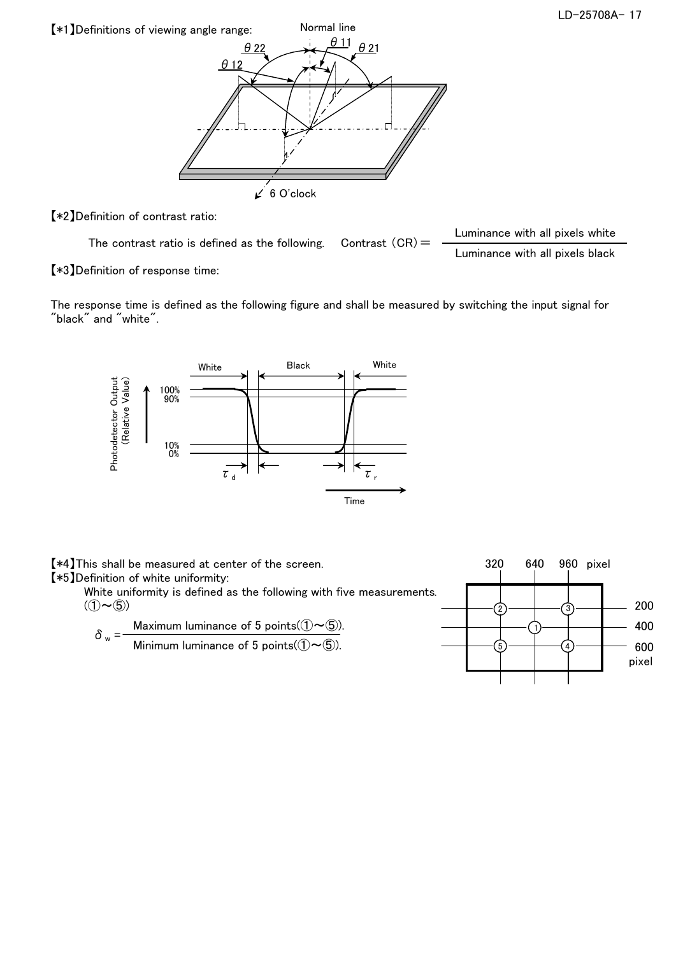

【\*2】Definition of contrast ratio:

The contrast ratio is defined as the following. Contrast  $(CR) =$  Luminance with all pixels white Luminance with all pixels black

【\*3】Definition of response time:

The response time is defined as the following figure and shall be measured by switching the input signal for "black" and "white".



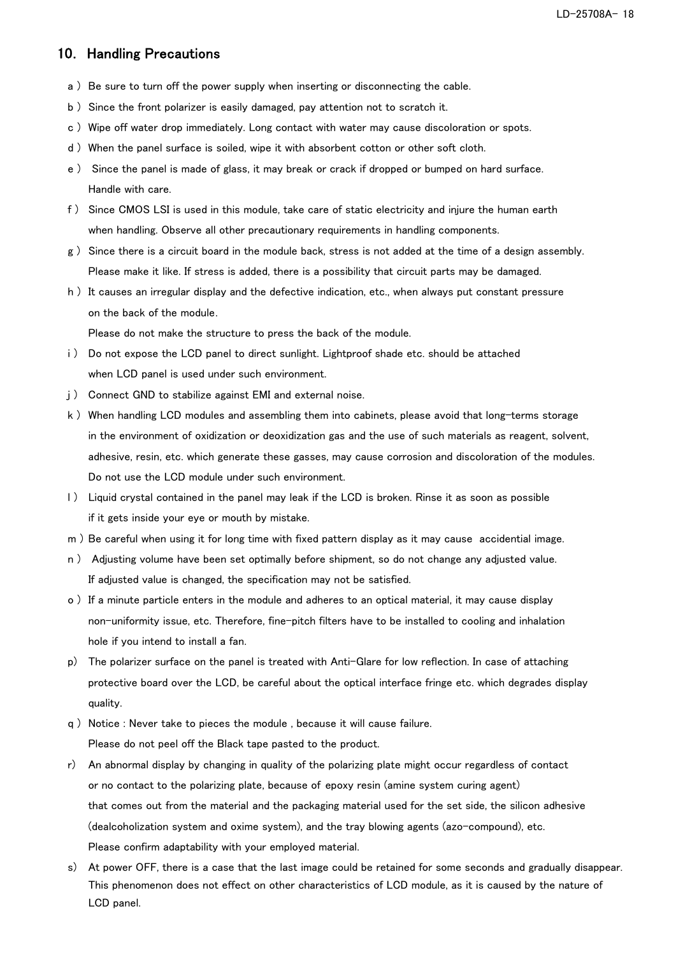#### 10. Handling Precautions

- a ) Be sure to turn off the power supply when inserting or disconnecting the cable.
- b ) Since the front polarizer is easily damaged, pay attention not to scratch it.
- c ) Wipe off water drop immediately. Long contact with water may cause discoloration or spots.
- d ) When the panel surface is soiled, wipe it with absorbent cotton or other soft cloth.
- e ) Since the panel is made of glass, it may break or crack if dropped or bumped on hard surface. Handle with care.
- f ) Since CMOS LSI is used in this module, take care of static electricity and injure the human earth when handling. Observe all other precautionary requirements in handling components.
- g ) Since there is a circuit board in the module back, stress is not added at the time of a design assembly. Please make it like. If stress is added, there is a possibility that circuit parts may be damaged.
- h ) It causes an irregular display and the defective indication, etc., when always put constant pressure on the back of the module.

Please do not make the structure to press the back of the module.

- i) Do not expose the LCD panel to direct sunlight. Lightproof shade etc. should be attached when LCD panel is used under such environment.
- i) Connect GND to stabilize against EMI and external noise.
- k ) When handling LCD modules and assembling them into cabinets, please avoid that long-terms storage in the environment of oxidization or deoxidization gas and the use of such materials as reagent, solvent, adhesive, resin, etc. which generate these gasses, may cause corrosion and discoloration of the modules. Do not use the LCD module under such environment.
- l ) Liquid crystal contained in the panel may leak if the LCD is broken. Rinse it as soon as possible if it gets inside your eye or mouth by mistake.
- m ) Be careful when using it for long time with fixed pattern display as it may cause accidential image.
- n ) Adjusting volume have been set optimally before shipment, so do not change any adjusted value. If adjusted value is changed, the specification may not be satisfied.
- o ) If a minute particle enters in the module and adheres to an optical material, it may cause display non-uniformity issue, etc. Therefore, fine-pitch filters have to be installed to cooling and inhalation hole if you intend to install a fan.
- p) The polarizer surface on the panel is treated with Anti-Glare for low reflection. In case of attaching protective board over the LCD, be careful about the optical interface fringe etc. which degrades display quality.
- q ) Notice : Never take to pieces the module , because it will cause failure. Please do not peel off the Black tape pasted to the product.
- r) An abnormal display by changing in quality of the polarizing plate might occur regardless of contact or no contact to the polarizing plate, because of epoxy resin (amine system curing agent) that comes out from the material and the packaging material used for the set side, the silicon adhesive (dealcoholization system and oxime system), and the tray blowing agents (azo-compound), etc. Please confirm adaptability with your employed material.
- s) At power OFF, there is a case that the last image could be retained for some seconds and gradually disappear. This phenomenon does not effect on other characteristics of LCD module, as it is caused by the nature of LCD panel.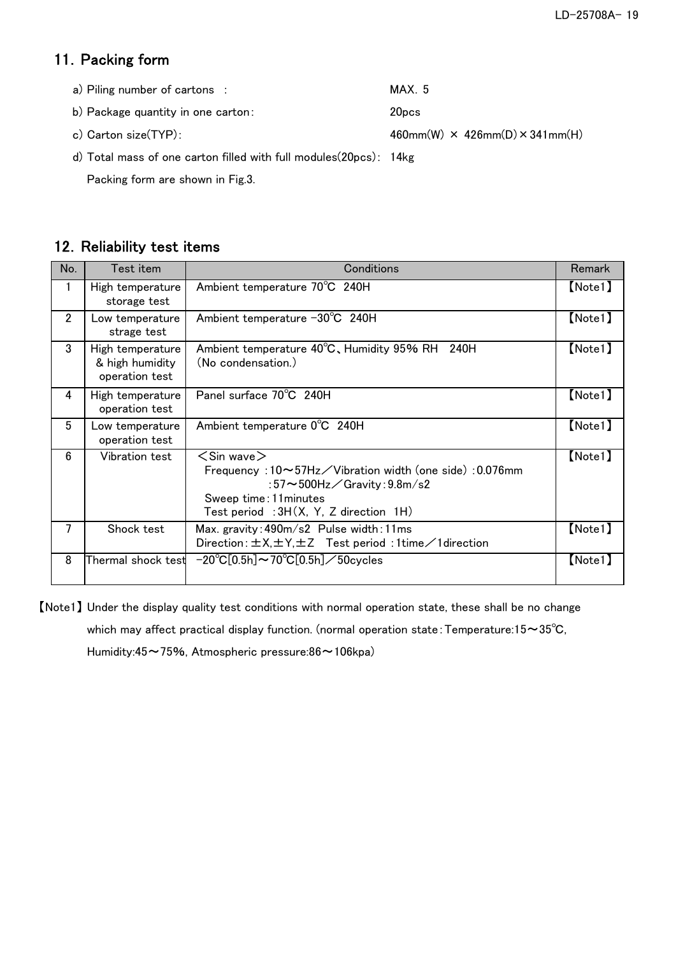# 11. Packing form

| a) Piling number of cartons :                                                | MAX 5                                           |
|------------------------------------------------------------------------------|-------------------------------------------------|
| b) Package quantity in one carton:                                           | 20 <sub>pcs</sub>                               |
| c) Carton size(TYP):                                                         | $460$ mm(W) $\times$ 426mm(D) $\times$ 341mm(H) |
| $\sim$ $\sim$ $\sim$ $\sim$ $\sim$ $\sim$ $\sim$ $\sim$<br>$\cdots$ $\cdots$ |                                                 |

d) Total mass of one carton filled with full modules(20pcs): 14kg

Packing form are shown in Fig.3.

### 12. Reliability test items

| No.            | Test item                                             | Conditions                                                                                                                                                                                     | Remark        |
|----------------|-------------------------------------------------------|------------------------------------------------------------------------------------------------------------------------------------------------------------------------------------------------|---------------|
|                | High temperature<br>storage test                      | Ambient temperature 70°C 240H                                                                                                                                                                  | [Note1]       |
| $\overline{2}$ | Low temperature<br>strage test                        | Ambient temperature −30°C 240H                                                                                                                                                                 | [Note1]       |
| 3              | High temperature<br>& high humidity<br>operation test | Ambient temperature 40°C, Humidity 95% RH 240H<br>(No condensation.)                                                                                                                           | [Note1]       |
| 4              | High temperature<br>operation test                    | Panel surface 70°C 240H                                                                                                                                                                        | [Note1]       |
| 5              | Low temperature<br>operation test                     | Ambient temperature 0°C 240H                                                                                                                                                                   | [Note1]       |
| 6              | Vibration test                                        | $<$ Sin wave $>$<br>Frequency: 10~57Hz/Vibration width (one side): 0.076mm<br>:57 $\sim$ 500Hz $\angle$ Gravity:9.8m/s2<br>Sweep time: 11 minutes<br>Test period : $3H(X, Y, Z)$ direction 1H) | [Note1]       |
| 7              | Shock test                                            | Max. gravity: 490m/s2 Pulse width: 11ms<br>Direction: $\pm$ X, $\pm$ Y, $\pm$ Z Test period: 1time $\angle$ 1 direction                                                                        | [Note1]       |
| 8              | Thermal shock test                                    | $-20^{\circ}C[0.5h] \sim 70^{\circ}C[0.5h] \diagup 50$ cycles                                                                                                                                  | $[$ Note1 $]$ |

【Note1】 Under the display quality test conditions with normal operation state, these shall be no change which may affect practical display function. (normal operation state: Temperature:15~35℃,

Humidity:45~75%, Atmospheric pressure:86~106kpa)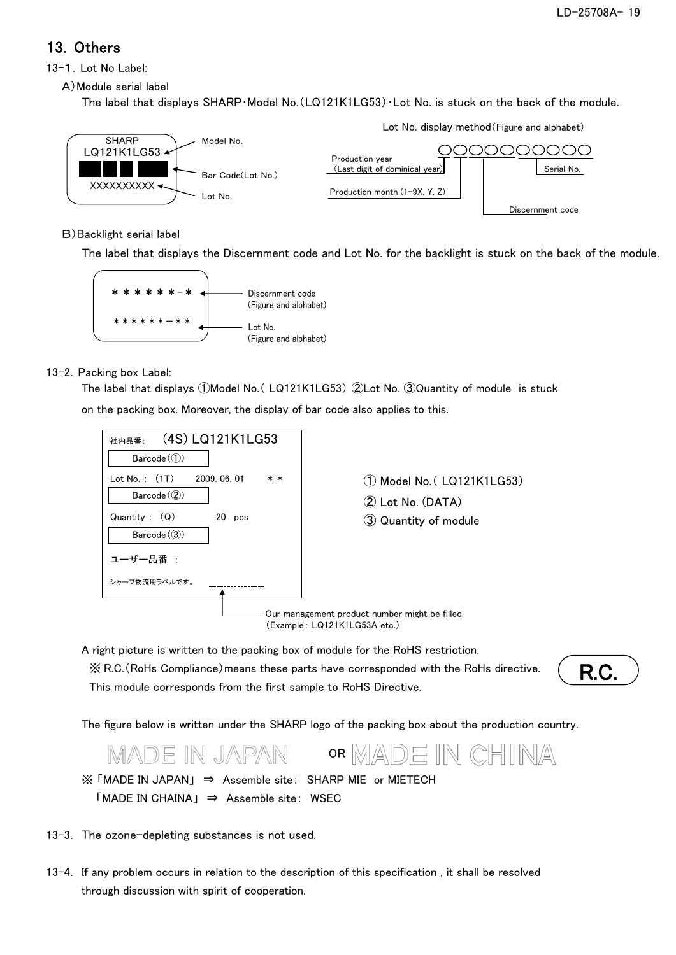## 13.Others

13-1. Lot No Label:

A)Module serial label

The label that displays SHARP・Model No.(LQ121K1LG53)・Lot No. is stuck on the back of the module.



#### B)Backlight serial label

The label that displays the Discernment code and Lot No. for the backlight is stuck on the back of the module.



#### 13-2. Packing box Label:

The label that displays ①Model No.( LQ121K1LG53) ②Lot No. ③Quantity of module is stuck

on the packing box. Moreover, the display of bar code also applies to this.



A right picture is written to the packing box of module for the RoHS restriction. ※ R.C.(RoHs Compliance)means these parts have corresponded with the RoHs directive. This module corresponds from the first sample to RoHS Directive.

R.C.

The figure below is written under the SHARP logo of the packing box about the production country.



- ※ 「MADE IN JAPAN」 ⇒ Assemble site: SHARP MIE or MIETECH  $M = M$  CHAINA  $\Rightarrow$  Assemble site: WSEC
- 13-3. The ozone-depleting substances is not used.
- 13-4. If any problem occurs in relation to the description of this specification , it shall be resolved through discussion with spirit of cooperation.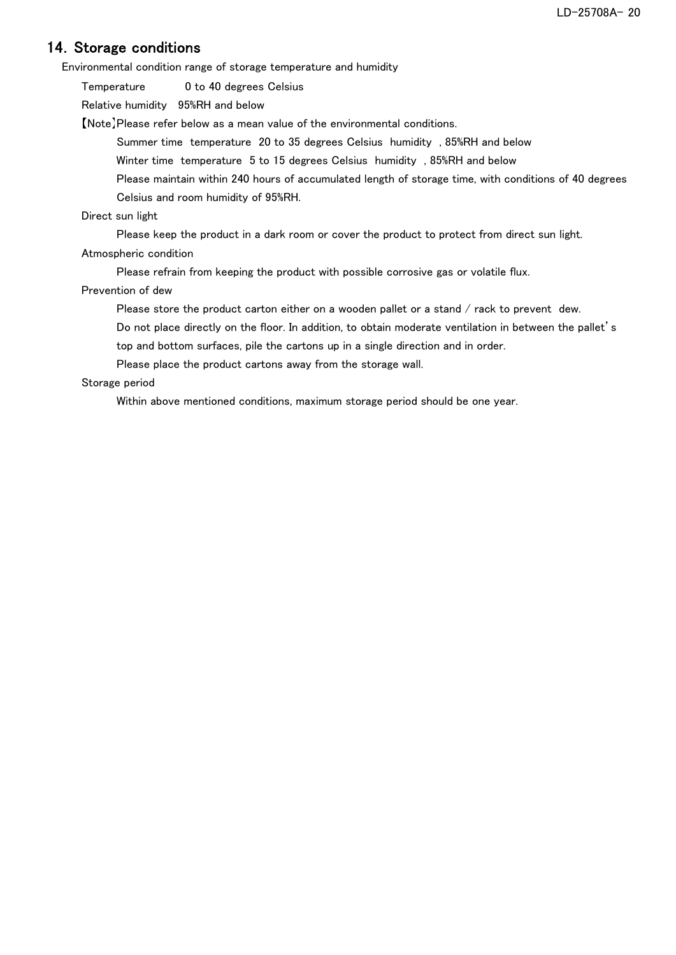### 14. Storage conditions

Environmental condition range of storage temperature and humidity

Temperature 0 to 40 degrees Celsius

Relative humidity 95%RH and below

【Note】Please refer below as a mean value of the environmental conditions.

Summer time temperature 20 to 35 degrees Celsius humidity , 85%RH and below

Winter time temperature 5 to 15 degrees Celsius humidity , 85%RH and below

Please maintain within 240 hours of accumulated length of storage time, with conditions of 40 degrees Celsius and room humidity of 95%RH.

#### Direct sun light

Please keep the product in a dark room or cover the product to protect from direct sun light.

#### Atmospheric condition

Please refrain from keeping the product with possible corrosive gas or volatile flux.

#### Prevention of dew

Please store the product carton either on a wooden pallet or a stand / rack to prevent dew.

Do not place directly on the floor. In addition, to obtain moderate ventilation in between the pallet's top and bottom surfaces, pile the cartons up in a single direction and in order.

Please place the product cartons away from the storage wall.

#### Storage period

Within above mentioned conditions, maximum storage period should be one year.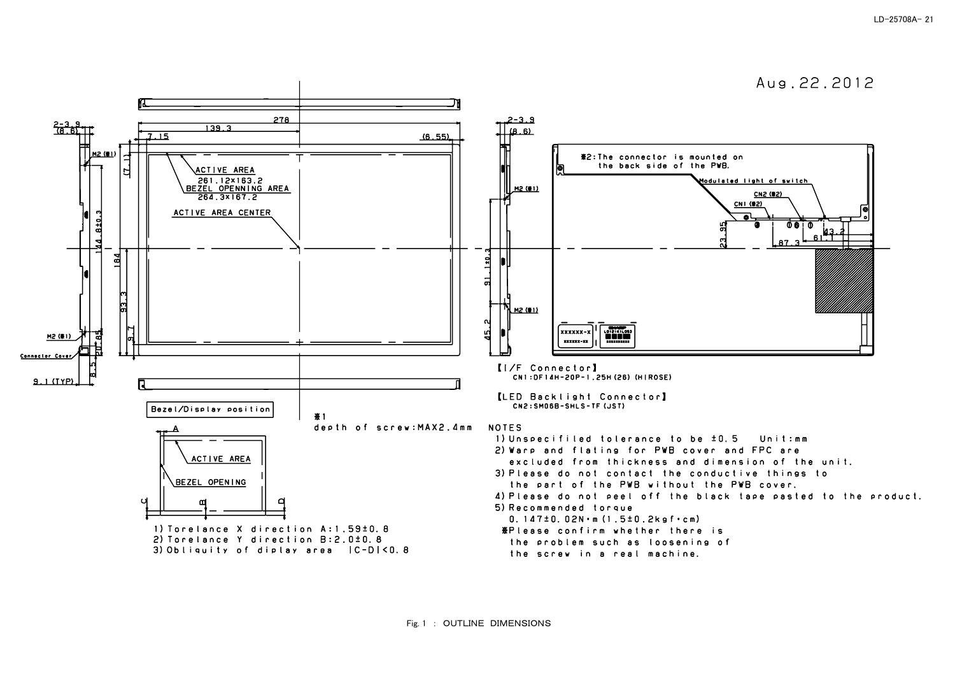